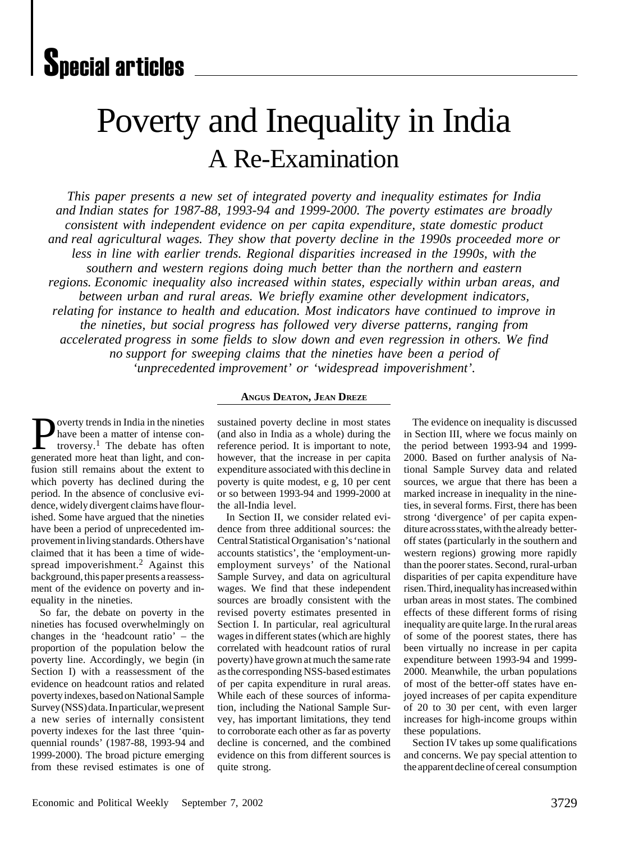# **S**pecial articles

## Poverty and Inequality in India A Re-Examination

*This paper presents a new set of integrated poverty and inequality estimates for India and Indian states for 1987-88, 1993-94 and 1999-2000. The poverty estimates are broadly consistent with independent evidence on per capita expenditure, state domestic product and real agricultural wages. They show that poverty decline in the 1990s proceeded more or less in line with earlier trends. Regional disparities increased in the 1990s, with the southern and western regions doing much better than the northern and eastern regions. Economic inequality also increased within states, especially within urban areas, and between urban and rural areas. We briefly examine other development indicators, relating for instance to health and education. Most indicators have continued to improve in the nineties, but social progress has followed very diverse patterns, ranging from accelerated progress in some fields to slow down and even regression in others. We find no support for sweeping claims that the nineties have been a period of 'unprecedented improvement' or 'widespread impoverishment'.*

## Poverty trends in India in the nineties<br>troversy.<sup>1</sup> The debate has often<br>generated more heat than light, and conhave been a matter of intense congenerated more heat than light, and confusion still remains about the extent to which poverty has declined during the period. In the absence of conclusive evidence, widely divergent claims have flourished. Some have argued that the nineties have been a period of unprecedented improvement in living standards. Others have claimed that it has been a time of widespread impoverishment.<sup>2</sup> Against this background, this paper presents a reassessment of the evidence on poverty and inequality in the nineties.

So far, the debate on poverty in the nineties has focused overwhelmingly on changes in the 'headcount ratio' – the proportion of the population below the poverty line. Accordingly, we begin (in Section I) with a reassessment of the evidence on headcount ratios and related poverty indexes, based on National Sample Survey (NSS) data. In particular, we present a new series of internally consistent poverty indexes for the last three 'quinquennial rounds' (1987-88, 1993-94 and 1999-2000). The broad picture emerging from these revised estimates is one of

#### sustained poverty decline in most states (and also in India as a whole) during the reference period. It is important to note, however, that the increase in per capita expenditure associated with this decline in poverty is quite modest, e g, 10 per cent or so between 1993-94 and 1999-2000 at the all-India level.

**ANGUS DEATON, JEAN DREZE**

In Section II, we consider related evidence from three additional sources: the Central Statistical Organisation's 'national accounts statistics', the 'employment-unemployment surveys' of the National Sample Survey, and data on agricultural wages. We find that these independent sources are broadly consistent with the revised poverty estimates presented in Section I. In particular, real agricultural wages in different states (which are highly correlated with headcount ratios of rural poverty) have grown at much the same rate as the corresponding NSS-based estimates of per capita expenditure in rural areas. While each of these sources of information, including the National Sample Survey, has important limitations, they tend to corroborate each other as far as poverty decline is concerned, and the combined evidence on this from different sources is quite strong.

The evidence on inequality is discussed in Section III, where we focus mainly on the period between 1993-94 and 1999- 2000. Based on further analysis of National Sample Survey data and related sources, we argue that there has been a marked increase in inequality in the nineties, in several forms. First, there has been strong 'divergence' of per capita expenditure across states, with the already betteroff states (particularly in the southern and western regions) growing more rapidly than the poorer states. Second, rural-urban disparities of per capita expenditure have risen. Third, inequality has increased within urban areas in most states. The combined effects of these different forms of rising inequality are quite large. In the rural areas of some of the poorest states, there has been virtually no increase in per capita expenditure between 1993-94 and 1999- 2000. Meanwhile, the urban populations of most of the better-off states have enjoyed increases of per capita expenditure of 20 to 30 per cent, with even larger increases for high-income groups within these populations.

Section IV takes up some qualifications and concerns. We pay special attention to the apparent decline of cereal consumption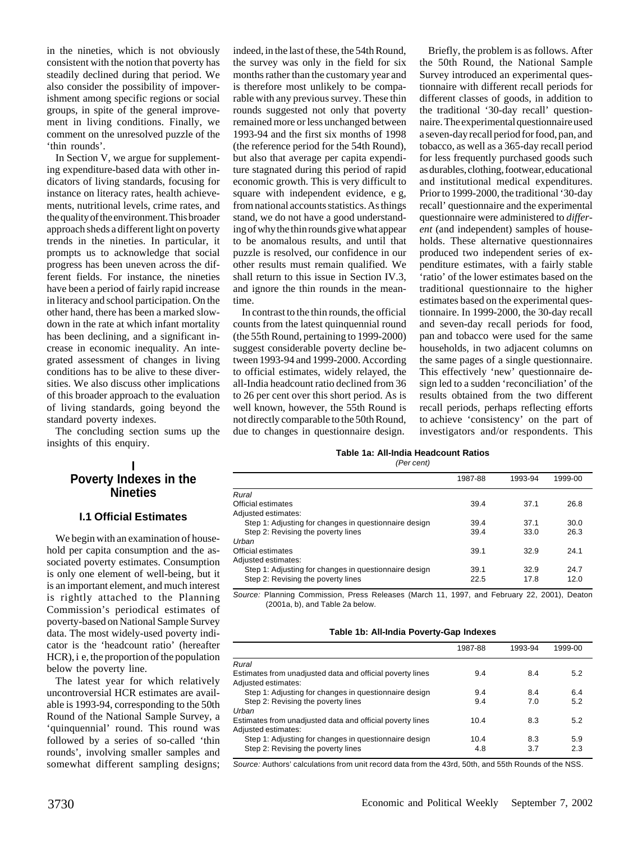in the nineties, which is not obviously consistent with the notion that poverty has steadily declined during that period. We also consider the possibility of impoverishment among specific regions or social groups, in spite of the general improvement in living conditions. Finally, we comment on the unresolved puzzle of the 'thin rounds'.

In Section V, we argue for supplementing expenditure-based data with other indicators of living standards, focusing for instance on literacy rates, health achievements, nutritional levels, crime rates, and the quality of the environment. This broader approach sheds a different light on poverty trends in the nineties. In particular, it prompts us to acknowledge that social progress has been uneven across the different fields. For instance, the nineties have been a period of fairly rapid increase in literacy and school participation. On the other hand, there has been a marked slowdown in the rate at which infant mortality has been declining, and a significant increase in economic inequality. An integrated assessment of changes in living conditions has to be alive to these diversities. We also discuss other implications of this broader approach to the evaluation of living standards, going beyond the standard poverty indexes.

The concluding section sums up the insights of this enquiry.

## **I Poverty Indexes in the Nineties**

## **I.1 Official Estimates**

We begin with an examination of household per capita consumption and the associated poverty estimates. Consumption is only one element of well-being, but it is an important element, and much interest is rightly attached to the Planning Commission's periodical estimates of poverty-based on National Sample Survey data. The most widely-used poverty indicator is the 'headcount ratio' (hereafter HCR), i e, the proportion of the population below the poverty line.

The latest year for which relatively uncontroversial HCR estimates are available is 1993-94, corresponding to the 50th Round of the National Sample Survey, a 'quinquennial' round. This round was followed by a series of so-called 'thin rounds', involving smaller samples and somewhat different sampling designs; indeed, in the last of these, the 54th Round, the survey was only in the field for six months rather than the customary year and is therefore most unlikely to be comparable with any previous survey. These thin rounds suggested not only that poverty remained more or less unchanged between 1993-94 and the first six months of 1998 (the reference period for the 54th Round), but also that average per capita expenditure stagnated during this period of rapid economic growth. This is very difficult to square with independent evidence, e g, from national accounts statistics. As things stand, we do not have a good understanding of why the thin rounds give what appear to be anomalous results, and until that puzzle is resolved, our confidence in our other results must remain qualified. We shall return to this issue in Section IV.3, and ignore the thin rounds in the meantime.

In contrast to the thin rounds, the official counts from the latest quinquennial round (the 55th Round, pertaining to 1999-2000) suggest considerable poverty decline between 1993-94 and 1999-2000. According to official estimates, widely relayed, the all-India headcount ratio declined from 36 to 26 per cent over this short period. As is well known, however, the 55th Round is not directly comparable to the 50th Round, due to changes in questionnaire design.

Briefly, the problem is as follows. After the 50th Round, the National Sample Survey introduced an experimental questionnaire with different recall periods for different classes of goods, in addition to the traditional '30-day recall' questionnaire. The experimental questionnaire used a seven-day recall period for food, pan, and tobacco, as well as a 365-day recall period for less frequently purchased goods such as durables, clothing, footwear, educational and institutional medical expenditures. Prior to 1999-2000, the traditional '30-day recall' questionnaire and the experimental questionnaire were administered to *different* (and independent) samples of households. These alternative questionnaires produced two independent series of expenditure estimates, with a fairly stable 'ratio' of the lower estimates based on the traditional questionnaire to the higher estimates based on the experimental questionnaire. In 1999-2000, the 30-day recall and seven-day recall periods for food, pan and tobacco were used for the same households, in two adjacent columns on the same pages of a single questionnaire. This effectively 'new' questionnaire design led to a sudden 'reconciliation' of the results obtained from the two different recall periods, perhaps reflecting efforts to achieve 'consistency' on the part of investigators and/or respondents. This

## **Table 1a: All-India Headcount Ratios**

(Per cent)

|                                                       | 1987-88 | 1993-94 | 1999-00 |
|-------------------------------------------------------|---------|---------|---------|
| Rural                                                 |         |         |         |
| Official estimates                                    | 39.4    | 37.1    | 26.8    |
| Adjusted estimates:                                   |         |         |         |
| Step 1: Adjusting for changes in questionnaire design | 39.4    | 37.1    | 30.0    |
| Step 2: Revising the poverty lines                    | 39.4    | 33.0    | 26.3    |
| Urban                                                 |         |         |         |
| Official estimates                                    | 39.1    | 32.9    | 24.1    |
| Adjusted estimates:                                   |         |         |         |
| Step 1: Adjusting for changes in questionnaire design | 39.1    | 32.9    | 24.7    |
| Step 2: Revising the poverty lines                    | 22.5    | 17.8    | 12.0    |

Source: Planning Commission, Press Releases (March 11, 1997, and February 22, 2001), Deaton (2001a, b), and Table 2a below.

#### **Table 1b: All-India Poverty-Gap Indexes**

|                                                           | 1987-88 | 1993-94 | 1999-00 |
|-----------------------------------------------------------|---------|---------|---------|
| Rural                                                     |         |         |         |
| Estimates from unadjusted data and official poverty lines | 9.4     | 8.4     | 5.2     |
| Adjusted estimates:                                       |         |         |         |
| Step 1: Adjusting for changes in questionnaire design     | 9.4     | 8.4     | 6.4     |
| Step 2: Revising the poverty lines                        | 9.4     | 7.0     | 5.2     |
| Urban                                                     |         |         |         |
| Estimates from unadjusted data and official poverty lines | 10.4    | 8.3     | 5.2     |
| Adjusted estimates:                                       |         |         |         |
| Step 1: Adjusting for changes in questionnaire design     | 10.4    | 8.3     | 5.9     |
| Step 2: Revising the poverty lines                        | 4.8     | 3.7     | 2.3     |
|                                                           |         |         |         |

Source: Authors' calculations from unit record data from the 43rd, 50th, and 55th Rounds of the NSS.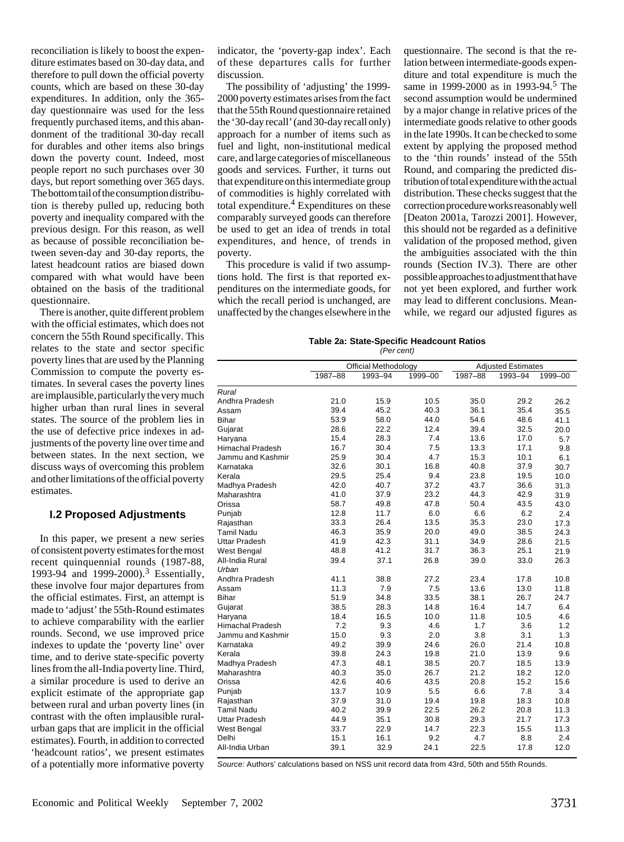reconciliation is likely to boost the expenditure estimates based on 30-day data, and therefore to pull down the official poverty counts, which are based on these 30-day expenditures. In addition, only the 365 day questionnaire was used for the less frequently purchased items, and this abandonment of the traditional 30-day recall for durables and other items also brings down the poverty count. Indeed, most people report no such purchases over 30 days, but report something over 365 days. The bottom tail of the consumption distribution is thereby pulled up, reducing both poverty and inequality compared with the previous design. For this reason, as well as because of possible reconciliation between seven-day and 30-day reports, the latest headcount ratios are biased down compared with what would have been obtained on the basis of the traditional questionnaire.

There is another, quite different problem with the official estimates, which does not concern the 55th Round specifically. This relates to the state and sector specific poverty lines that are used by the Planning Commission to compute the poverty estimates. In several cases the poverty lines are implausible, particularly the very much higher urban than rural lines in several states. The source of the problem lies in the use of defective price indexes in adjustments of the poverty line over time and between states. In the next section, we discuss ways of overcoming this problem and other limitations of the official poverty estimates.

#### **I.2 Proposed Adjustments**

In this paper, we present a new series of consistent poverty estimates for the most recent quinquennial rounds (1987-88, 1993-94 and 1999-2000).3 Essentially, these involve four major departures from the official estimates. First, an attempt is made to 'adjust' the 55th-Round estimates to achieve comparability with the earlier rounds. Second, we use improved price indexes to update the 'poverty line' over time, and to derive state-specific poverty lines from the all-India poverty line. Third, a similar procedure is used to derive an explicit estimate of the appropriate gap between rural and urban poverty lines (in contrast with the often implausible ruralurban gaps that are implicit in the official estimates). Fourth, in addition to corrected 'headcount ratios', we present estimates of a potentially more informative poverty indicator, the 'poverty-gap index'. Each of these departures calls for further discussion.

The possibility of 'adjusting' the 1999- 2000 poverty estimates arises from the fact that the 55th Round questionnaire retained the '30-day recall' (and 30-day recall only) approach for a number of items such as fuel and light, non-institutional medical care, and large categories of miscellaneous goods and services. Further, it turns out that expenditure on this intermediate group of commodities is highly correlated with total expenditure.<sup>4</sup> Expenditures on these comparably surveyed goods can therefore be used to get an idea of trends in total expenditures, and hence, of trends in poverty.

This procedure is valid if two assumptions hold. The first is that reported expenditures on the intermediate goods, for which the recall period is unchanged, are unaffected by the changes elsewhere in the

questionnaire. The second is that the relation between intermediate-goods expenditure and total expenditure is much the same in 1999-2000 as in 1993-94.<sup>5</sup> The second assumption would be undermined by a major change in relative prices of the intermediate goods relative to other goods in the late 1990s. It can be checked to some extent by applying the proposed method to the 'thin rounds' instead of the 55th Round, and comparing the predicted distribution of total expenditure with the actual distribution. These checks suggest that the correction procedure works reasonably well [Deaton 2001a, Tarozzi 2001]. However, this should not be regarded as a definitive validation of the proposed method, given the ambiguities associated with the thin rounds (Section IV.3). There are other possible approaches to adjustment that have not yet been explored, and further work may lead to different conclusions. Meanwhile, we regard our adjusted figures as

| <b>Table 2a: State-Specific Headcount Ratios</b> |  |
|--------------------------------------------------|--|
| (Per cent)                                       |  |

|                         |         | Official Methodology |         |         | <b>Adjusted Estimates</b> |         |
|-------------------------|---------|----------------------|---------|---------|---------------------------|---------|
|                         | 1987-88 | 1993-94              | 1999-00 | 1987-88 | 1993-94                   | 1999-00 |
| Rural                   |         |                      |         |         |                           |         |
| Andhra Pradesh          | 21.0    | 15.9                 | 10.5    | 35.0    | 29.2                      | 26.2    |
| Assam                   | 39.4    | 45.2                 | 40.3    | 36.1    | 35.4                      | 35.5    |
| Bihar                   | 53.9    | 58.0                 | 44.0    | 54.6    | 48.6                      | 41.1    |
| Gujarat                 | 28.6    | 22.2                 | 12.4    | 39.4    | 32.5                      | 20.0    |
| Haryana                 | 15.4    | 28.3                 | 7.4     | 13.6    | 17.0                      | 5.7     |
| <b>Himachal Pradesh</b> | 16.7    | 30.4                 | 7.5     | 13.3    | 17.1                      | 9.8     |
| Jammu and Kashmir       | 25.9    | 30.4                 | 4.7     | 15.3    | 10.1                      | 6.1     |
| Karnataka               | 32.6    | 30.1                 | 16.8    | 40.8    | 37.9                      | 30.7    |
| Kerala                  | 29.5    | 25.4                 | 9.4     | 23.8    | 19.5                      | 10.0    |
| Madhya Pradesh          | 42.0    | 40.7                 | 37.2    | 43.7    | 36.6                      | 31.3    |
| Maharashtra             | 41.0    | 37.9                 | 23.2    | 44.3    | 42.9                      | 31.9    |
| Orissa                  | 58.7    | 49.8                 | 47.8    | 50.4    | 43.5                      | 43.0    |
| Punjab                  | 12.8    | 11.7                 | 6.0     | 6.6     | 6.2                       | 2.4     |
| Rajasthan               | 33.3    | 26.4                 | 13.5    | 35.3    | 23.0                      | 17.3    |
| <b>Tamil Nadu</b>       | 46.3    | 35.9                 | 20.0    | 49.0    | 38.5                      | 24.3    |
| <b>Uttar Pradesh</b>    | 41.9    | 42.3                 | 31.1    | 34.9    | 28.6                      | 21.5    |
| West Bengal             | 48.8    | 41.2                 | 31.7    | 36.3    | 25.1                      | 21.9    |
| All-India Rural         | 39.4    | 37.1                 | 26.8    | 39.0    | 33.0                      | 26.3    |
| Urban                   |         |                      |         |         |                           |         |
| Andhra Pradesh          | 41.1    | 38.8                 | 27.2    | 23.4    | 17.8                      | 10.8    |
| Assam                   | 11.3    | 7.9                  | 7.5     | 13.6    | 13.0                      | 11.8    |
| Bihar                   | 51.9    | 34.8                 | 33.5    | 38.1    | 26.7                      | 24.7    |
| Gujarat                 | 38.5    | 28.3                 | 14.8    | 16.4    | 14.7                      | 6.4     |
| Haryana                 | 18.4    | 16.5                 | 10.0    | 11.8    | 10.5                      | 4.6     |
| <b>Himachal Pradesh</b> | 7.2     | 9.3                  | 4.6     | 1.7     | 3.6                       | 1.2     |
| Jammu and Kashmir       | 15.0    | 9.3                  | 2.0     | 3.8     | 3.1                       | 1.3     |
| Karnataka               | 49.2    | 39.9                 | 24.6    | 26.0    | 21.4                      | 10.8    |
| Kerala                  | 39.8    | 24.3                 | 19.8    | 21.0    | 13.9                      | 9.6     |
| Madhya Pradesh          | 47.3    | 48.1                 | 38.5    | 20.7    | 18.5                      | 13.9    |
| Maharashtra             | 40.3    | 35.0                 | 26.7    | 21.2    | 18.2                      | 12.0    |
| Orissa                  | 42.6    | 40.6                 | 43.5    | 20.8    | 15.2                      | 15.6    |
| Punjab                  | 13.7    | 10.9                 | 5.5     | 6.6     | 7.8                       | 3.4     |
| Rajasthan               | 37.9    | 31.0                 | 19.4    | 19.8    | 18.3                      | 10.8    |
| Tamil Nadu              | 40.2    | 39.9                 | 22.5    | 26.2    | 20.8                      | 11.3    |
| Uttar Pradesh           | 44.9    | 35.1                 | 30.8    | 29.3    | 21.7                      | 17.3    |
| West Bengal             | 33.7    | 22.9                 | 14.7    | 22.3    | 15.5                      | 11.3    |
| Delhi                   | 15.1    | 16.1                 | 9.2     | 4.7     | 8.8                       | 2.4     |
| All-India Urban         | 39.1    | 32.9                 | 24.1    | 22.5    | 17.8                      | 12.0    |

Source: Authors' calculations based on NSS unit record data from 43rd, 50th and 55th Rounds.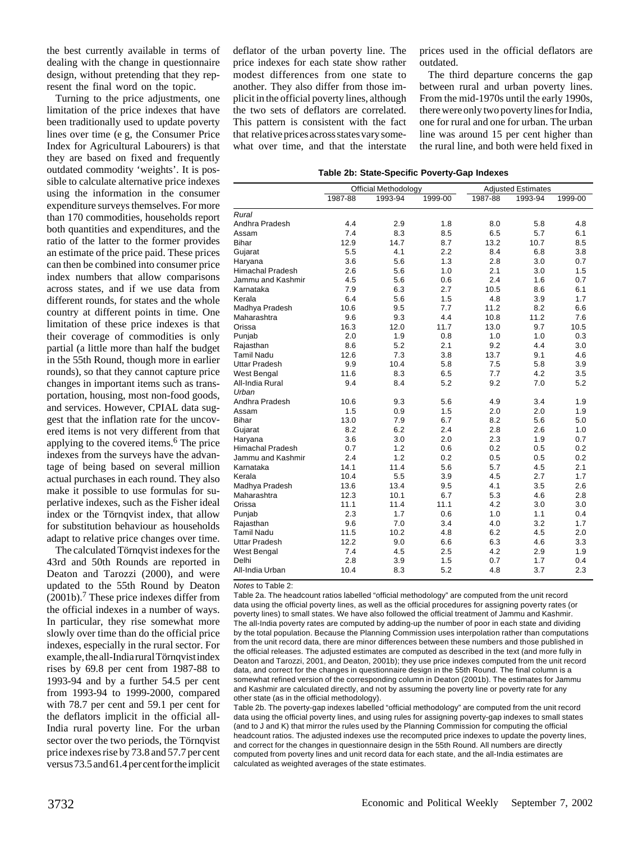the best currently available in terms of dealing with the change in questionnaire design, without pretending that they represent the final word on the topic.

Turning to the price adjustments, one limitation of the price indexes that have been traditionally used to update poverty lines over time (e g, the Consumer Price Index for Agricultural Labourers) is that they are based on fixed and frequently outdated commodity 'weights'. It is possible to calculate alternative price indexes using the information in the consumer expenditure surveys themselves. For more than 170 commodities, households report both quantities and expenditures, and the ratio of the latter to the former provides an estimate of the price paid. These prices can then be combined into consumer price index numbers that allow comparisons across states, and if we use data from different rounds, for states and the whole country at different points in time. One limitation of these price indexes is that their coverage of commodities is only partial (a little more than half the budget in the 55th Round, though more in earlier rounds), so that they cannot capture price changes in important items such as transportation, housing, most non-food goods, and services. However, CPIAL data suggest that the inflation rate for the uncovered items is not very different from that applying to the covered items.6 The price indexes from the surveys have the advantage of being based on several million actual purchases in each round. They also make it possible to use formulas for superlative indexes, such as the Fisher ideal index or the Törnqvist index, that allow for substitution behaviour as households adapt to relative price changes over time.

The calculated Törnqvist indexes for the 43rd and 50th Rounds are reported in Deaton and Tarozzi (2000), and were updated to the 55th Round by Deaton (2001b).7 These price indexes differ from the official indexes in a number of ways. In particular, they rise somewhat more slowly over time than do the official price indexes, especially in the rural sector. For example, the all-India rural Törnqvist index rises by 69.8 per cent from 1987-88 to 1993-94 and by a further 54.5 per cent from 1993-94 to 1999-2000, compared with 78.7 per cent and 59.1 per cent for the deflators implicit in the official all-India rural poverty line. For the urban sector over the two periods, the Törnqvist price indexes rise by 73.8 and 57.7 per cent versus 73.5 and 61.4 per cent for the implicit

deflator of the urban poverty line. The price indexes for each state show rather modest differences from one state to another. They also differ from those implicit in the official poverty lines, although the two sets of deflators are correlated. This pattern is consistent with the fact that relative prices across states vary somewhat over time, and that the interstate

prices used in the official deflators are outdated.

The third departure concerns the gap between rural and urban poverty lines. From the mid-1970s until the early 1990s, there were only two poverty lines for India, one for rural and one for urban. The urban line was around 15 per cent higher than the rural line, and both were held fixed in

|  |  |  | Table 2b: State-Specific Poverty-Gap Indexes |  |
|--|--|--|----------------------------------------------|--|
|--|--|--|----------------------------------------------|--|

|                         | Official Methodology |         | <b>Adjusted Estimates</b> |         |         |         |
|-------------------------|----------------------|---------|---------------------------|---------|---------|---------|
|                         | 1987-88              | 1993-94 | 1999-00                   | 1987-88 | 1993-94 | 1999-00 |
| Rural                   |                      |         |                           |         |         |         |
| Andhra Pradesh          | 4.4                  | 2.9     | 1.8                       | 8.0     | 5.8     | 4.8     |
| Assam                   | 7.4                  | 8.3     | 8.5                       | 6.5     | 5.7     | 6.1     |
| <b>Bihar</b>            | 12.9                 | 14.7    | 8.7                       | 13.2    | 10.7    | 8.5     |
| Gujarat                 | 5.5                  | 4.1     | 2.2                       | 8.4     | 6.8     | 3.8     |
| Haryana                 | 3.6                  | 5.6     | 1.3                       | 2.8     | 3.0     | 0.7     |
| <b>Himachal Pradesh</b> | 2.6                  | 5.6     | 1.0                       | 2.1     | 3.0     | 1.5     |
| Jammu and Kashmir       | 4.5                  | 5.6     | 0.6                       | 2.4     | 1.6     | 0.7     |
| Karnataka               | 7.9                  | 6.3     | 2.7                       | 10.5    | 8.6     | 6.1     |
| Kerala                  | 6.4                  | 5.6     | 1.5                       | 4.8     | 3.9     | 1.7     |
| Madhya Pradesh          | 10.6                 | 9.5     | 7.7                       | 11.2    | 8.2     | 6.6     |
| Maharashtra             | 9.6                  | 9.3     | 4.4                       | 10.8    | 11.2    | 7.6     |
| Orissa                  | 16.3                 | 12.0    | 11.7                      | 13.0    | 9.7     | 10.5    |
| Punjab                  | 2.0                  | 1.9     | 0.8                       | 1.0     | 1.0     | 0.3     |
| Rajasthan               | 8.6                  | 5.2     | 2.1                       | 9.2     | 4.4     | 3.0     |
| <b>Tamil Nadu</b>       | 12.6                 | 7.3     | 3.8                       | 13.7    | 9.1     | 4.6     |
| Uttar Pradesh           | 9.9                  | 10.4    | 5.8                       | 7.5     | 5.8     | 3.9     |
| West Bengal             | 11.6                 | 8.3     | 6.5                       | 7.7     | 4.2     | 3.5     |
| All-India Rural         | 9.4                  | 8.4     | 5.2                       | 9.2     | 7.0     | 5.2     |
| Urban                   |                      |         |                           |         |         |         |
| Andhra Pradesh          | 10.6                 | 9.3     | 5.6                       | 4.9     | 3.4     | 1.9     |
| Assam                   | 1.5                  | 0.9     | 1.5                       | 2.0     | 2.0     | 1.9     |
| Bihar                   | 13.0                 | 7.9     | 6.7                       | 8.2     | 5.6     | 5.0     |
| Gujarat                 | 8.2                  | 6.2     | 2.4                       | 2.8     | 2.6     | 1.0     |
| Haryana                 | 3.6                  | 3.0     | 2.0                       | 2.3     | 1.9     | 0.7     |
| <b>Himachal Pradesh</b> | 0.7                  | 1.2     | 0.6                       | 0.2     | 0.5     | 0.2     |
| Jammu and Kashmir       | 2.4                  | 1.2     | 0.2                       | 0.5     | 0.5     | 0.2     |
| Karnataka               | 14.1                 | 11.4    | 5.6                       | 5.7     | 4.5     | 2.1     |
| Kerala                  | 10.4                 | 5.5     | 3.9                       | 4.5     | 2.7     | 1.7     |
| Madhya Pradesh          | 13.6                 | 13.4    | 9.5                       | 4.1     | 3.5     | 2.6     |
| Maharashtra             | 12.3                 | 10.1    | 6.7                       | 5.3     | 4.6     | 2.8     |
| Orissa                  | 11.1                 | 11.4    | 11.1                      | 4.2     | 3.0     | 3.0     |
| Punjab                  | 2.3                  | 1.7     | 0.6                       | 1.0     | 1.1     | 0.4     |
| Rajasthan               | 9.6                  | 7.0     | 3.4                       | 4.0     | 3.2     | 1.7     |
| <b>Tamil Nadu</b>       | 11.5                 | 10.2    | 4.8                       | 6.2     | 4.5     | 2.0     |
| <b>Uttar Pradesh</b>    | 12.2                 | 9.0     | 6.6                       | 6.3     | 4.6     | 3.3     |
| West Bengal             | 7.4                  | 4.5     | 2.5                       | 4.2     | 2.9     | 1.9     |
| Delhi                   | 2.8                  | 3.9     | 1.5                       | 0.7     | 1.7     | 0.4     |
| All-India Urban         | 10.4                 | 8.3     | 5.2                       | 4.8     | 3.7     | 2.3     |

Notes to Table 2:

Table 2a. The headcount ratios labelled "official methodology" are computed from the unit record data using the official poverty lines, as well as the official procedures for assigning poverty rates (or poverty lines) to small states. We have also followed the official treatment of Jammu and Kashmir. The all-India poverty rates are computed by adding-up the number of poor in each state and dividing by the total population. Because the Planning Commission uses interpolation rather than computations from the unit record data, there are minor differences between these numbers and those published in the official releases. The adjusted estimates are computed as described in the text (and more fully in Deaton and Tarozzi, 2001, and Deaton, 2001b); they use price indexes computed from the unit record data, and correct for the changes in questionnaire design in the 55th Round. The final column is a somewhat refined version of the corresponding column in Deaton (2001b). The estimates for Jammu and Kashmir are calculated directly, and not by assuming the poverty line or poverty rate for any other state (as in the official methodology).

Table 2b. The poverty-gap indexes labelled "official methodology" are computed from the unit record data using the official poverty lines, and using rules for assigning poverty-gap indexes to small states (and to J and K) that mirror the rules used by the Planning Commission for computing the official headcount ratios. The adjusted indexes use the recomputed price indexes to update the poverty lines, and correct for the changes in questionnaire design in the 55th Round. All numbers are directly computed from poverty lines and unit record data for each state, and the all-India estimates are calculated as weighted averages of the state estimates.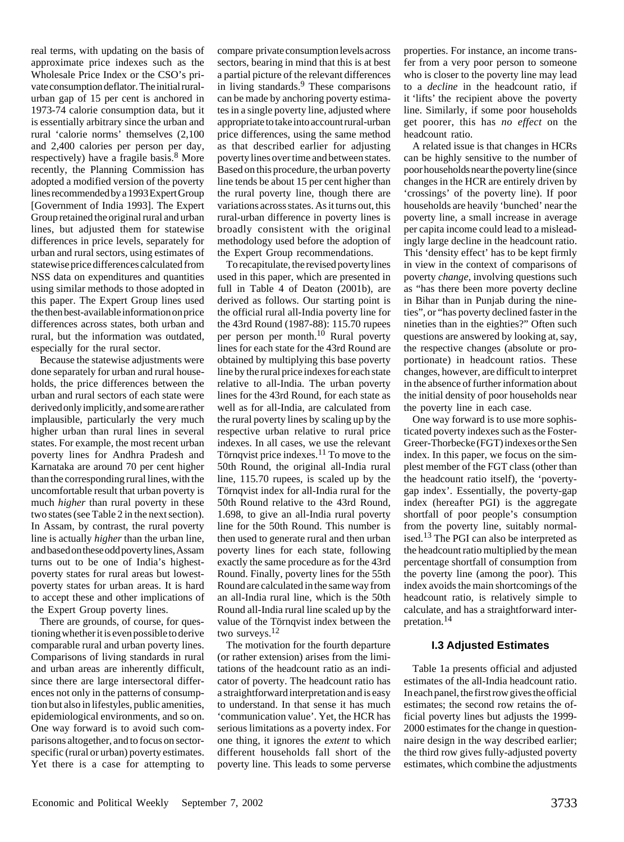real terms, with updating on the basis of approximate price indexes such as the Wholesale Price Index or the CSO's private consumption deflator. The initial ruralurban gap of 15 per cent is anchored in 1973-74 calorie consumption data, but it is essentially arbitrary since the urban and rural 'calorie norms' themselves (2,100 and 2,400 calories per person per day, respectively) have a fragile basis.<sup>8</sup> More recently, the Planning Commission has adopted a modified version of the poverty lines recommended by a 1993 Expert Group [Government of India 1993]. The Expert Group retained the original rural and urban lines, but adjusted them for statewise differences in price levels, separately for urban and rural sectors, using estimates of statewise price differences calculated from NSS data on expenditures and quantities using similar methods to those adopted in this paper. The Expert Group lines used the then best-available information on price differences across states, both urban and rural, but the information was outdated, especially for the rural sector.

Because the statewise adjustments were done separately for urban and rural households, the price differences between the urban and rural sectors of each state were derived only implicitly, and some are rather implausible, particularly the very much higher urban than rural lines in several states. For example, the most recent urban poverty lines for Andhra Pradesh and Karnataka are around 70 per cent higher than the corresponding rural lines, with the uncomfortable result that urban poverty is much *higher* than rural poverty in these two states (see Table 2 in the next section). In Assam, by contrast, the rural poverty line is actually *higher* than the urban line, and based on these odd poverty lines, Assam turns out to be one of India's highestpoverty states for rural areas but lowestpoverty states for urban areas. It is hard to accept these and other implications of the Expert Group poverty lines.

There are grounds, of course, for questioning whether it is even possible to derive comparable rural and urban poverty lines. Comparisons of living standards in rural and urban areas are inherently difficult, since there are large intersectoral differences not only in the patterns of consumption but also in lifestyles, public amenities, epidemiological environments, and so on. One way forward is to avoid such comparisons altogether, and to focus on sectorspecific (rural or urban) poverty estimates. Yet there is a case for attempting to compare private consumption levels across sectors, bearing in mind that this is at best a partial picture of the relevant differences in living standards.9 These comparisons can be made by anchoring poverty estimates in a single poverty line, adjusted where appropriate to take into account rural-urban price differences, using the same method as that described earlier for adjusting poverty lines over time and between states. Based on this procedure, the urban poverty line tends be about 15 per cent higher than the rural poverty line, though there are variations across states. As it turns out, this rural-urban difference in poverty lines is broadly consistent with the original methodology used before the adoption of the Expert Group recommendations.

To recapitulate, the revised poverty lines used in this paper, which are presented in full in Table 4 of Deaton (2001b), are derived as follows. Our starting point is the official rural all-India poverty line for the 43rd Round (1987-88): 115.70 rupees per person per month.10 Rural poverty lines for each state for the 43rd Round are obtained by multiplying this base poverty line by the rural price indexes for each state relative to all-India. The urban poverty lines for the 43rd Round, for each state as well as for all-India, are calculated from the rural poverty lines by scaling up by the respective urban relative to rural price indexes. In all cases, we use the relevant Törnqvist price indexes.<sup>11</sup> To move to the 50th Round, the original all-India rural line, 115.70 rupees, is scaled up by the Törnqvist index for all-India rural for the 50th Round relative to the 43rd Round, 1.698, to give an all-India rural poverty line for the 50th Round. This number is then used to generate rural and then urban poverty lines for each state, following exactly the same procedure as for the 43rd Round. Finally, poverty lines for the 55th Round are calculated in the same way from an all-India rural line, which is the 50th Round all-India rural line scaled up by the value of the Törnqvist index between the two surveys.<sup>12</sup>

The motivation for the fourth departure (or rather extension) arises from the limitations of the headcount ratio as an indicator of poverty. The headcount ratio has a straightforward interpretation and is easy to understand. In that sense it has much 'communication value'. Yet, the HCR has serious limitations as a poverty index. For one thing, it ignores the *extent* to which different households fall short of the poverty line. This leads to some perverse

properties. For instance, an income transfer from a very poor person to someone who is closer to the poverty line may lead to a *decline* in the headcount ratio, if it 'lifts' the recipient above the poverty line. Similarly, if some poor households get poorer, this has *no effect* on the headcount ratio.

A related issue is that changes in HCRs can be highly sensitive to the number of poor households near the poverty line (since changes in the HCR are entirely driven by 'crossings' of the poverty line). If poor households are heavily 'bunched' near the poverty line, a small increase in average per capita income could lead to a misleadingly large decline in the headcount ratio. This 'density effect' has to be kept firmly in view in the context of comparisons of poverty *change*, involving questions such as "has there been more poverty decline in Bihar than in Punjab during the nineties", or "has poverty declined faster in the nineties than in the eighties?" Often such questions are answered by looking at, say, the respective changes (absolute or proportionate) in headcount ratios. These changes, however, are difficult to interpret in the absence of further information about the initial density of poor households near the poverty line in each case.

One way forward is to use more sophisticated poverty indexes such as the Foster-Greer-Thorbecke (FGT) indexes or the Sen index. In this paper, we focus on the simplest member of the FGT class (other than the headcount ratio itself), the 'povertygap index'. Essentially, the poverty-gap index (hereafter PGI) is the aggregate shortfall of poor people's consumption from the poverty line, suitably normalised.13 The PGI can also be interpreted as the headcount ratio multiplied by the mean percentage shortfall of consumption from the poverty line (among the poor). This index avoids the main shortcomings of the headcount ratio, is relatively simple to calculate, and has a straightforward interpretation.14

#### **I.3 Adjusted Estimates**

Table 1a presents official and adjusted estimates of the all-India headcount ratio. In each panel, the first row gives the official estimates; the second row retains the official poverty lines but adjusts the 1999- 2000 estimates for the change in questionnaire design in the way described earlier; the third row gives fully-adjusted poverty estimates, which combine the adjustments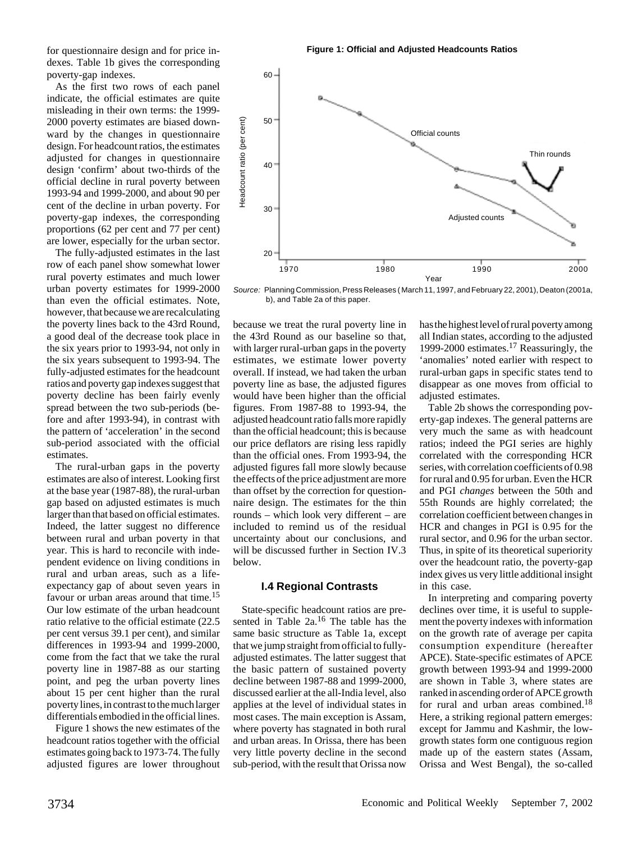for questionnaire design and for price indexes. Table 1b gives the corresponding poverty-gap indexes.

As the first two rows of each panel indicate, the official estimates are quite misleading in their own terms: the 1999- 2000 poverty estimates are biased downward by the changes in questionnaire design. For headcount ratios, the estimates adjusted for changes in questionnaire design 'confirm' about two-thirds of the official decline in rural poverty between 1993-94 and 1999-2000, and about 90 per cent of the decline in urban poverty. For poverty-gap indexes, the corresponding proportions (62 per cent and 77 per cent) are lower, especially for the urban sector.

The fully-adjusted estimates in the last row of each panel show somewhat lower rural poverty estimates and much lower urban poverty estimates for 1999-2000 than even the official estimates. Note, however, that because we are recalculating the poverty lines back to the 43rd Round, a good deal of the decrease took place in the six years prior to 1993-94, not only in the six years subsequent to 1993-94. The fully-adjusted estimates for the headcount ratios and poverty gap indexes suggest that poverty decline has been fairly evenly spread between the two sub-periods (before and after 1993-94), in contrast with the pattern of 'acceleration' in the second sub-period associated with the official estimates.

The rural-urban gaps in the poverty estimates are also of interest. Looking first at the base year (1987-88), the rural-urban gap based on adjusted estimates is much larger than that based on official estimates. Indeed, the latter suggest no difference between rural and urban poverty in that year. This is hard to reconcile with independent evidence on living conditions in rural and urban areas, such as a lifeexpectancy gap of about seven years in favour or urban areas around that time.<sup>15</sup> Our low estimate of the urban headcount ratio relative to the official estimate (22.5 per cent versus 39.1 per cent), and similar differences in 1993-94 and 1999-2000, come from the fact that we take the rural poverty line in 1987-88 as our starting point, and peg the urban poverty lines about 15 per cent higher than the rural poverty lines, in contrast to the much larger differentials embodied in the official lines.

Figure 1 shows the new estimates of the headcount ratios together with the official estimates going back to 1973-74. The fully adjusted figures are lower throughout

**Figure 1: Official and Adjusted Headcounts Ratios**



Source: Planning Commission, Press Releases ( March 11, 1997, and February 22, 2001), Deaton (2001a, b), and Table 2a of this paper.

because we treat the rural poverty line in the 43rd Round as our baseline so that, with larger rural-urban gaps in the poverty estimates, we estimate lower poverty overall. If instead, we had taken the urban poverty line as base, the adjusted figures would have been higher than the official figures. From 1987-88 to 1993-94, the adjusted headcount ratio falls more rapidly than the official headcount; this is because our price deflators are rising less rapidly than the official ones. From 1993-94, the adjusted figures fall more slowly because the effects of the price adjustment are more than offset by the correction for questionnaire design. The estimates for the thin rounds – which look very different – are included to remind us of the residual uncertainty about our conclusions, and will be discussed further in Section IV.3 below.

### **I.4 Regional Contrasts**

State-specific headcount ratios are presented in Table 2a.<sup>16</sup> The table has the same basic structure as Table 1a, except that we jump straight from official to fullyadjusted estimates. The latter suggest that the basic pattern of sustained poverty decline between 1987-88 and 1999-2000, discussed earlier at the all-India level, also applies at the level of individual states in most cases. The main exception is Assam, where poverty has stagnated in both rural and urban areas. In Orissa, there has been very little poverty decline in the second sub-period, with the result that Orissa now

has the highest level of rural poverty among all Indian states, according to the adjusted 1999-2000 estimates.17 Reassuringly, the 'anomalies' noted earlier with respect to rural-urban gaps in specific states tend to disappear as one moves from official to adjusted estimates.

Table 2b shows the corresponding poverty-gap indexes. The general patterns are very much the same as with headcount ratios; indeed the PGI series are highly correlated with the corresponding HCR series, with correlation coefficients of 0.98 for rural and 0.95 for urban. Even the HCR and PGI *changes* between the 50th and 55th Rounds are highly correlated; the correlation coefficient between changes in HCR and changes in PGI is 0.95 for the rural sector, and 0.96 for the urban sector. Thus, in spite of its theoretical superiority over the headcount ratio, the poverty-gap index gives us very little additional insight in this case.

In interpreting and comparing poverty declines over time, it is useful to supplement the poverty indexes with information on the growth rate of average per capita consumption expenditure (hereafter APCE). State-specific estimates of APCE growth between 1993-94 and 1999-2000 are shown in Table 3, where states are ranked in ascending order of APCE growth for rural and urban areas combined.<sup>18</sup> Here, a striking regional pattern emerges: except for Jammu and Kashmir, the lowgrowth states form one contiguous region made up of the eastern states (Assam, Orissa and West Bengal), the so-called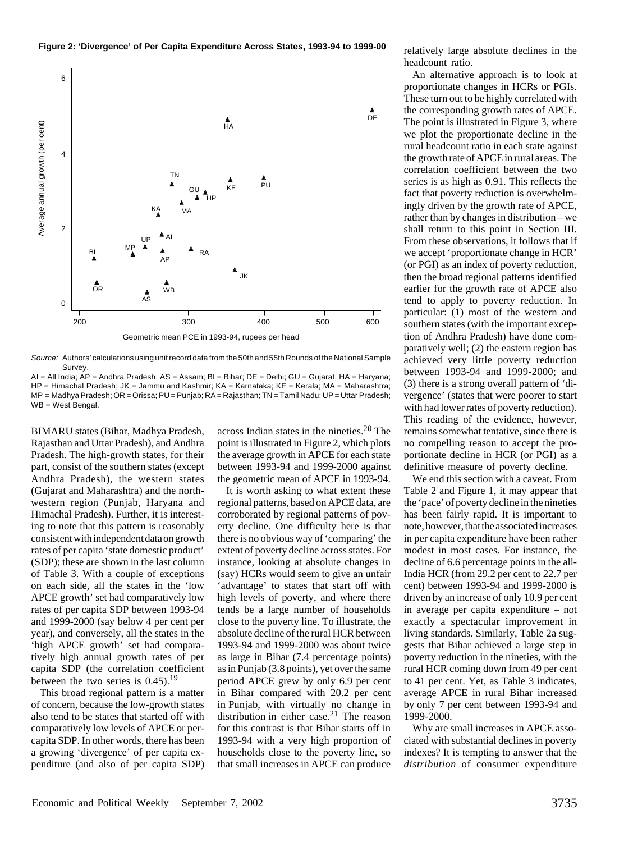

Source: Authors' calculations using unit record data from the 50th and 55th Rounds of the National Sample **Survey** 

AI = All India; AP = Andhra Pradesh; AS = Assam; BI = Bihar; DE = Delhi; GU = Gujarat; HA = Haryana; HP = Himachal Pradesh; JK = Jammu and Kashmir; KA = Karnataka; KE = Kerala; MA = Maharashtra; MP = Madhya Pradesh; OR = Orissa; PU = Punjab; RA = Rajasthan; TN = Tamil Nadu; UP = Uttar Pradesh; WB = West Bengal.

BIMARU states (Bihar, Madhya Pradesh, Rajasthan and Uttar Pradesh), and Andhra Pradesh. The high-growth states, for their part, consist of the southern states (except Andhra Pradesh), the western states (Gujarat and Maharashtra) and the northwestern region (Punjab, Haryana and Himachal Pradesh). Further, it is interesting to note that this pattern is reasonably consistent with independent data on growth rates of per capita 'state domestic product' (SDP); these are shown in the last column of Table 3. With a couple of exceptions on each side, all the states in the 'low APCE growth' set had comparatively low rates of per capita SDP between 1993-94 and 1999-2000 (say below 4 per cent per year), and conversely, all the states in the 'high APCE growth' set had comparatively high annual growth rates of per capita SDP (the correlation coefficient between the two series is  $0.45$ .<sup>19</sup>

This broad regional pattern is a matter of concern, because the low-growth states also tend to be states that started off with comparatively low levels of APCE or percapita SDP. In other words, there has been a growing 'divergence' of per capita expenditure (and also of per capita SDP) across Indian states in the nineties.20 The point is illustrated in Figure 2, which plots the average growth in APCE for each state between 1993-94 and 1999-2000 against the geometric mean of APCE in 1993-94.

It is worth asking to what extent these regional patterns, based on APCE data, are corroborated by regional patterns of poverty decline. One difficulty here is that there is no obvious way of 'comparing' the extent of poverty decline across states. For instance, looking at absolute changes in (say) HCRs would seem to give an unfair 'advantage' to states that start off with high levels of poverty, and where there tends be a large number of households close to the poverty line. To illustrate, the absolute decline of the rural HCR between 1993-94 and 1999-2000 was about twice as large in Bihar (7.4 percentage points) as in Punjab (3.8 points), yet over the same period APCE grew by only 6.9 per cent in Bihar compared with 20.2 per cent in Punjab, with virtually no change in distribution in either case.<sup>21</sup> The reason for this contrast is that Bihar starts off in 1993-94 with a very high proportion of households close to the poverty line, so that small increases in APCE can produce

relatively large absolute declines in the headcount ratio.

An alternative approach is to look at proportionate changes in HCRs or PGIs. These turn out to be highly correlated with the corresponding growth rates of APCE. The point is illustrated in Figure 3, where we plot the proportionate decline in the rural headcount ratio in each state against the growth rate of APCE in rural areas. The correlation coefficient between the two series is as high as 0.91. This reflects the fact that poverty reduction is overwhelmingly driven by the growth rate of APCE, rather than by changes in distribution – we shall return to this point in Section III. From these observations, it follows that if we accept 'proportionate change in HCR' (or PGI) as an index of poverty reduction, then the broad regional patterns identified earlier for the growth rate of APCE also tend to apply to poverty reduction. In particular: (1) most of the western and southern states (with the important exception of Andhra Pradesh) have done comparatively well; (2) the eastern region has achieved very little poverty reduction between 1993-94 and 1999-2000; and (3) there is a strong overall pattern of 'divergence' (states that were poorer to start with had lower rates of poverty reduction). This reading of the evidence, however, remains somewhat tentative, since there is no compelling reason to accept the proportionate decline in HCR (or PGI) as a definitive measure of poverty decline.

We end this section with a caveat. From Table 2 and Figure 1, it may appear that the 'pace' of poverty decline in the nineties has been fairly rapid. It is important to note, however, that the associated increases in per capita expenditure have been rather modest in most cases. For instance, the decline of 6.6 percentage points in the all-India HCR (from 29.2 per cent to 22.7 per cent) between 1993-94 and 1999-2000 is driven by an increase of only 10.9 per cent in average per capita expenditure – not exactly a spectacular improvement in living standards. Similarly, Table 2a suggests that Bihar achieved a large step in poverty reduction in the nineties, with the rural HCR coming down from 49 per cent to 41 per cent. Yet, as Table 3 indicates, average APCE in rural Bihar increased by only 7 per cent between 1993-94 and 1999-2000.

Why are small increases in APCE associated with substantial declines in poverty indexes? It is tempting to answer that the *distribution* of consumer expenditure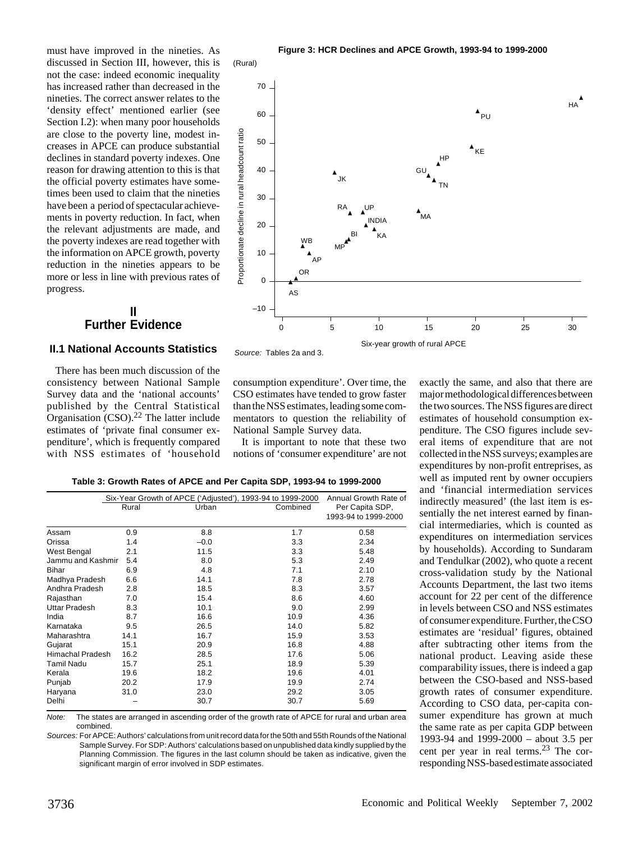must have improved in the nineties. As discussed in Section III, however, this is not the case: indeed economic inequality has increased rather than decreased in the nineties. The correct answer relates to the 'density effect' mentioned earlier (see Section I.2): when many poor households are close to the poverty line, modest increases in APCE can produce substantial declines in standard poverty indexes. One reason for drawing attention to this is that the official poverty estimates have sometimes been used to claim that the nineties have been a period of spectacular achievements in poverty reduction. In fact, when the relevant adjustments are made, and the poverty indexes are read together with the information on APCE growth, poverty reduction in the nineties appears to be more or less in line with previous rates of progress.

## **II Further Evidence**

## **II.1 National Accounts Statistics**

There has been much discussion of the consistency between National Sample Survey data and the 'national accounts' published by the Central Statistical Organisation (CSO).22 The latter include estimates of 'private final consumer expenditure', which is frequently compared with NSS estimates of 'household



Six-year growth of rural APCE

0 5 10 15 20 25 30

**Figure 3: HCR Declines and APCE Growth, 1993-94 to 1999-2000**

Source: Tables 2a and 3.

(Rural)

consumption expenditure'. Over time, the CSO estimates have tended to grow faster than the NSS estimates, leading some commentators to question the reliability of National Sample Survey data.

It is important to note that these two notions of 'consumer expenditure' are not

|                         |       | Six-Year Growth of APCE ('Adjusted'), 1993-94 to 1999-2000 |          | Annual Growth Rate of                   |
|-------------------------|-------|------------------------------------------------------------|----------|-----------------------------------------|
|                         | Rural | Urban                                                      | Combined | Per Capita SDP,<br>1993-94 to 1999-2000 |
| Assam                   | 0.9   | 8.8                                                        | 1.7      | 0.58                                    |
| Orissa                  | 1.4   | $-0.0$                                                     | 3.3      | 2.34                                    |
| West Bengal             | 2.1   | 11.5                                                       | 3.3      | 5.48                                    |
| Jammu and Kashmir       | 5.4   | 8.0                                                        | 5.3      | 2.49                                    |
| Bihar                   | 6.9   | 4.8                                                        | 7.1      | 2.10                                    |
| Madhya Pradesh          | 6.6   | 14.1                                                       | 7.8      | 2.78                                    |
| Andhra Pradesh          | 2.8   | 18.5                                                       | 8.3      | 3.57                                    |
| Rajasthan               | 7.0   | 15.4                                                       | 8.6      | 4.60                                    |
| <b>Uttar Pradesh</b>    | 8.3   | 10.1                                                       | 9.0      | 2.99                                    |
| India                   | 8.7   | 16.6                                                       | 10.9     | 4.36                                    |
| Karnataka               | 9.5   | 26.5                                                       | 14.0     | 5.82                                    |
| Maharashtra             | 14.1  | 16.7                                                       | 15.9     | 3.53                                    |
| Gujarat                 | 15.1  | 20.9                                                       | 16.8     | 4.88                                    |
| <b>Himachal Pradesh</b> | 16.2  | 28.5                                                       | 17.6     | 5.06                                    |
| Tamil Nadu              | 15.7  | 25.1                                                       | 18.9     | 5.39                                    |
| Kerala                  | 19.6  | 18.2                                                       | 19.6     | 4.01                                    |
| Punjab                  | 20.2  | 17.9                                                       | 19.9     | 2.74                                    |
| Haryana                 | 31.0  | 23.0                                                       | 29.2     | 3.05                                    |
| Delhi                   |       | 30.7                                                       | 30.7     | 5.69                                    |

**Table 3: Growth Rates of APCE and Per Capita SDP, 1993-94 to 1999-2000**

Note: The states are arranged in ascending order of the growth rate of APCE for rural and urban area combined.

Sources: For APCE: Authors' calculations from unit record data for the 50th and 55th Rounds of the National Sample Survey. For SDP: Authors' calculations based on unpublished data kindly supplied by the Planning Commission. The figures in the last column should be taken as indicative, given the significant margin of error involved in SDP estimates.

exactly the same, and also that there are major methodological differences between the two sources. The NSS figures are direct estimates of household consumption expenditure. The CSO figures include several items of expenditure that are not collected in the NSS surveys; examples are expenditures by non-profit entreprises, as well as imputed rent by owner occupiers and 'financial intermediation services indirectly measured' (the last item is essentially the net interest earned by financial intermediaries, which is counted as expenditures on intermediation services by households). According to Sundaram and Tendulkar (2002), who quote a recent cross-validation study by the National Accounts Department, the last two items account for 22 per cent of the difference in levels between CSO and NSS estimates of consumer expenditure. Further, the CSO estimates are 'residual' figures, obtained after subtracting other items from the national product. Leaving aside these comparability issues, there is indeed a gap between the CSO-based and NSS-based growth rates of consumer expenditure. According to CSO data, per-capita consumer expenditure has grown at much the same rate as per capita GDP between 1993-94 and 1999-2000 – about 3.5 per cent per year in real terms.23 The corresponding NSS-based estimate associated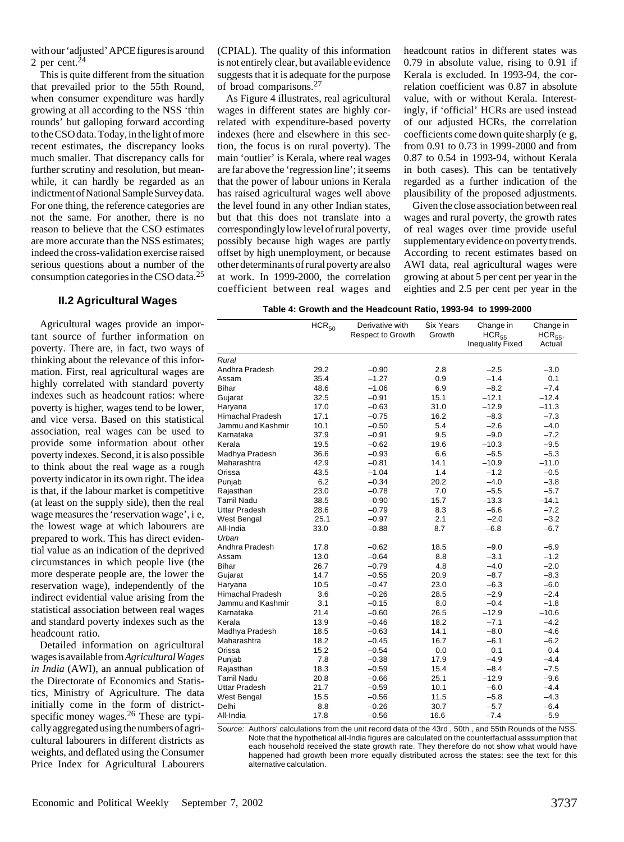with our 'adjusted' APCE figures is around 2 per cent. $24$ 

This is quite different from the situation that prevailed prior to the 55th Round, when consumer expenditure was hardly growing at all according to the NSS 'thin rounds' but galloping forward according to the CSO data. Today, in the light of more recent estimates, the discrepancy looks much smaller. That discrepancy calls for further scrutiny and resolution, but meanwhile, it can hardly be regarded as an indictment of National Sample Survey data. For one thing, the reference categories are not the same. For another, there is no reason to believe that the CSO estimates are more accurate than the NSS estimates; indeed the cross-validation exercise raised serious questions about a number of the consumption categories in the CSO data.<sup>25</sup>

## **II.2 Agricultural Wages**

Agricultural wages provide an important source of further information on poverty. There are, in fact, two ways of thinking about the relevance of this information. First, real agricultural wages are highly correlated with standard poverty indexes such as headcount ratios: where poverty is higher, wages tend to be lower, and vice versa. Based on this statistical association, real wages can be used to provide some information about other poverty indexes. Second, it is also possible to think about the real wage as a rough poverty indicator in its own right. The idea is that, if the labour market is competitive (at least on the supply side), then the real wage measures the 'reservation wage', i e, the lowest wage at which labourers are prepared to work. This has direct evidential value as an indication of the deprived circumstances in which people live (the more desperate people are, the lower the reservation wage), independently of the indirect evidential value arising from the statistical association between real wages and standard poverty indexes such as the headcount ratio.

Detailed information on agricultural wages is available from *Agricultural Wages in India* (AWI), an annual publication of the Directorate of Economics and Statistics, Ministry of Agriculture. The data initially come in the form of districtspecific money wages.<sup>26</sup> These are typically aggregated using the numbers of agricultural labourers in different districts as weights, and deflated using the Consumer Price Index for Agricultural Labourers

(CPIAL). The quality of this information is not entirely clear, but available evidence suggests that it is adequate for the purpose of broad comparisons.<sup>27</sup>

As Figure 4 illustrates, real agricultural wages in different states are highly correlated with expenditure-based poverty indexes (here and elsewhere in this section, the focus is on rural poverty). The main 'outlier' is Kerala, where real wages are far above the 'regression line'; it seems that the power of labour unions in Kerala has raised agricultural wages well above the level found in any other Indian states, but that this does not translate into a correspondingly low level of rural poverty, possibly because high wages are partly offset by high unemployment, or because other determinants of rural poverty are also at work. In 1999-2000, the correlation coefficient between real wages and headcount ratios in different states was 0.79 in absolute value, rising to 0.91 if Kerala is excluded. In 1993-94, the correlation coefficient was 0.87 in absolute value, with or without Kerala. Interestingly, if 'official' HCRs are used instead of our adjusted HCRs, the correlation coefficients come down quite sharply (e g, from 0.91 to 0.73 in 1999-2000 and from 0.87 to 0.54 in 1993-94, without Kerala in both cases). This can be tentatively regarded as a further indication of the plausibility of the proposed adjustments.

Given the close association between real wages and rural poverty, the growth rates of real wages over time provide useful supplementary evidence on poverty trends. According to recent estimates based on AWI data, real agricultural wages were growing at about 5 per cent per year in the eighties and 2.5 per cent per year in the

| Table 4: Growth and the Headcount Ratio, 1993-94 to 1999-2000 |  |
|---------------------------------------------------------------|--|
|                                                               |  |

|                         | $HCR_{50}$ | Derivative with          | <b>Six Years</b> | Change in               | Change in  |
|-------------------------|------------|--------------------------|------------------|-------------------------|------------|
|                         |            | <b>Respect to Growth</b> | Growth           | $HCR_{55}$              | $HCR_{55}$ |
|                         |            |                          |                  | <b>Inequality Fixed</b> | Actual     |
| Rural                   |            |                          |                  |                         |            |
| Andhra Pradesh          | 29.2       | $-0.90$                  | 2.8              | $-2.5$                  | $-3.0$     |
| Assam                   | 35.4       | $-1.27$                  | 0.9              | $-1.4$                  | 0.1        |
| Bihar                   | 48.6       | $-1.06$                  | 6.9              | $-8.2$                  | $-7.4$     |
| Gujarat                 | 32.5       | $-0.91$                  | 15.1             | $-12.1$                 | $-12.4$    |
| Haryana                 | 17.0       | $-0.63$                  | 31.0             | $-12.9$                 | $-11.3$    |
| <b>Himachal Pradesh</b> | 17.1       | $-0.75$                  | 16.2             | $-8.3$                  | $-7.3$     |
| Jammu and Kashmir       | 10.1       | $-0.50$                  | 5.4              | $-2.6$                  | $-4.0$     |
| Karnataka               | 37.9       | $-0.91$                  | 9.5              | $-9.0$                  | $-7.2$     |
| Kerala                  | 19.5       | $-0.62$                  | 19.6             | $-10.3$                 | $-9.5$     |
| Madhya Pradesh          | 36.6       | $-0.93$                  | 6.6              | $-6.5$                  | $-5.3$     |
| Maharashtra             | 42.9       | $-0.81$                  | 14.1             | $-10.9$                 | $-11.0$    |
| Orissa                  | 43.5       | $-1.04$                  | 1.4              | $-1.2$                  | $-0.5$     |
| Punjab                  | 6.2        | $-0.34$                  | 20.2             | $-4.0$                  | $-3.8$     |
| Rajasthan               | 23.0       | $-0.78$                  | 7.0              | $-5.5$                  | $-5.7$     |
| Tamil Nadu              | 38.5       | $-0.90$                  | 15.7             | $-13.3$                 | $-14.1$    |
| <b>Uttar Pradesh</b>    | 28.6       | $-0.79$                  | 8.3              | $-6.6$                  | $-7.2$     |
| West Bengal             | 25.1       | $-0.97$                  | 2.1              | $-2.0$                  | $-3.2$     |
| All-India               | 33.0       | $-0.88$                  | 8.7              | $-6.8$                  | $-6.7$     |
| Urban                   |            |                          |                  |                         |            |
| Andhra Pradesh          | 17.8       | $-0.62$                  | 18.5             | $-9.0$                  | $-6.9$     |
| Assam                   | 13.0       | $-0.64$                  | 8.8              | $-3.1$                  | $-1.2$     |
| Bihar                   | 26.7       | $-0.79$                  | 4.8              | $-4.0$                  | $-2.0$     |
| Gujarat                 | 14.7       | $-0.55$                  | 20.9             | $-8.7$                  | $-8.3$     |
| Haryana                 | 10.5       | $-0.47$                  | 23.0             | $-6.3$                  | $-6.0$     |
| <b>Himachal Pradesh</b> | 3.6        | $-0.26$                  | 28.5             | $-2.9$                  | $-2.4$     |
| Jammu and Kashmir       | 3.1        | $-0.15$                  | 8.0              | $-0.4$                  | $-1.8$     |
| Karnataka               | 21.4       | $-0.60$                  | 26.5             | $-12.9$                 | $-10.6$    |
| Kerala                  | 13.9       | $-0.46$                  | 18.2             | $-7.1$                  | $-4.2$     |
| Madhya Pradesh          | 18.5       | $-0.63$                  | 14.1             | $-8.0$                  | $-4.6$     |
| Maharashtra             | 18.2       | $-0.45$                  | 16.7             | $-6.1$                  | $-6.2$     |
| Orissa                  | 15.2       | $-0.54$                  | 0.0              | 0.1                     | 0.4        |
| Punjab                  | 7.8        | $-0.38$                  | 17.9             | $-4.9$                  | $-4.4$     |
| Rajasthan               | 18.3       | $-0.59$                  | 15.4             | $-8.4$                  | $-7.5$     |
| <b>Tamil Nadu</b>       | 20.8       | $-0.66$                  | 25.1             | $-12.9$                 | $-9.6$     |
| <b>Uttar Pradesh</b>    | 21.7       | $-0.59$                  | 10.1             | $-6.0$                  | $-4.4$     |
| West Bengal             | 15.5       | $-0.56$                  | 11.5             | $-5.8$                  | $-4.3$     |
| Delhi                   | 8.8        | $-0.26$                  | 30.7             | $-5.7$                  | $-6.4$     |
| All-India               | 17.8       | $-0.56$                  | 16.6             | $-7.4$                  | $-5.9$     |

Source: Authors' calculations from the unit record data of the 43rd , 50th , and 55th Rounds of the NSS. Note that the hypothetical all-India figures are calculated on the counterfactual asssumption that each household received the state growth rate. They therefore do not show what would have happened had growth been more equally distributed across the states: see the text for this alternative calculation.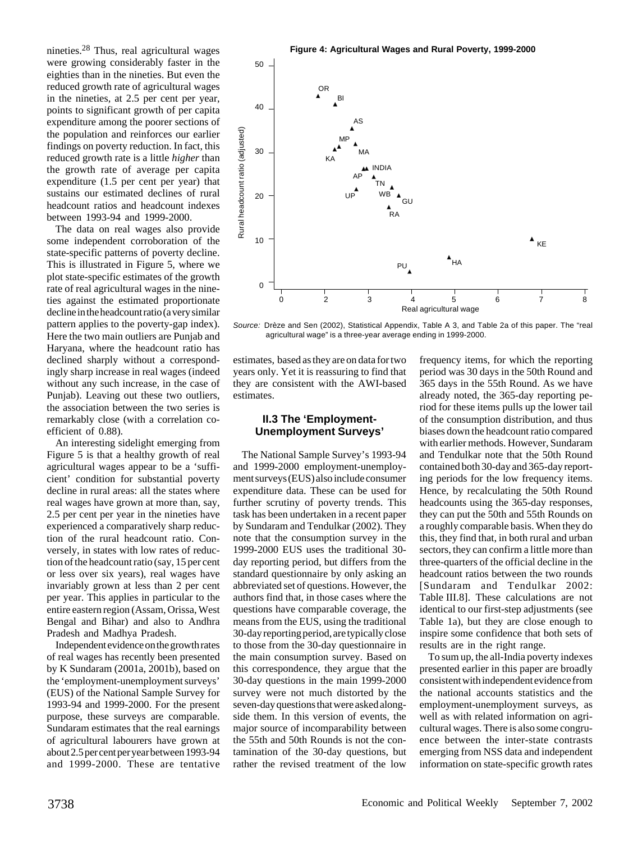nineties.28 Thus, real agricultural wages were growing considerably faster in the eighties than in the nineties. But even the reduced growth rate of agricultural wages in the nineties, at 2.5 per cent per year, points to significant growth of per capita expenditure among the poorer sections of the population and reinforces our earlier findings on poverty reduction. In fact, this reduced growth rate is a little *higher* than the growth rate of average per capita expenditure (1.5 per cent per year) that sustains our estimated declines of rural headcount ratios and headcount indexes between 1993-94 and 1999-2000.

The data on real wages also provide some independent corroboration of the state-specific patterns of poverty decline. This is illustrated in Figure 5, where we plot state-specific estimates of the growth rate of real agricultural wages in the nineties against the estimated proportionate decline in the headcount ratio (a very similar pattern applies to the poverty-gap index). Here the two main outliers are Punjab and Haryana, where the headcount ratio has declined sharply without a correspondingly sharp increase in real wages (indeed without any such increase, in the case of Punjab). Leaving out these two outliers, the association between the two series is remarkably close (with a correlation coefficient of 0.88).

An interesting sidelight emerging from Figure 5 is that a healthy growth of real agricultural wages appear to be a 'sufficient' condition for substantial poverty decline in rural areas: all the states where real wages have grown at more than, say, 2.5 per cent per year in the nineties have experienced a comparatively sharp reduction of the rural headcount ratio. Conversely, in states with low rates of reduction of the headcount ratio (say, 15 per cent or less over six years), real wages have invariably grown at less than 2 per cent per year. This applies in particular to the entire eastern region (Assam, Orissa, West Bengal and Bihar) and also to Andhra Pradesh and Madhya Pradesh.

Independent evidence on the growth rates of real wages has recently been presented by K Sundaram (2001a, 2001b), based on the 'employment-unemployment surveys' (EUS) of the National Sample Survey for 1993-94 and 1999-2000. For the present purpose, these surveys are comparable. Sundaram estimates that the real earnings of agricultural labourers have grown at about 2.5 per cent per year between 1993-94 and 1999-2000. These are tentative

**Figure 4: Agricultural Wages and Rural Poverty, 1999-2000**



Source: Drèze and Sen (2002), Statistical Appendix, Table A 3, and Table 2a of this paper. The "real agricultural wage" is a three-year average ending in 1999-2000.

estimates, based as they are on data for two years only. Yet it is reassuring to find that they are consistent with the AWI-based estimates.

#### **II.3 The 'Employment-Unemployment Surveys'**

The National Sample Survey's 1993-94 and 1999-2000 employment-unemployment surveys (EUS) also include consumer expenditure data. These can be used for further scrutiny of poverty trends. This task has been undertaken in a recent paper by Sundaram and Tendulkar (2002). They note that the consumption survey in the 1999-2000 EUS uses the traditional 30 day reporting period, but differs from the standard questionnaire by only asking an abbreviated set of questions. However, the authors find that, in those cases where the questions have comparable coverage, the means from the EUS, using the traditional 30-day reporting period, are typically close to those from the 30-day questionnaire in the main consumption survey. Based on this correspondence, they argue that the 30-day questions in the main 1999-2000 survey were not much distorted by the seven-day questions that were asked alongside them. In this version of events, the major source of incomparability between the 55th and 50th Rounds is not the contamination of the 30-day questions, but rather the revised treatment of the low

frequency items, for which the reporting period was 30 days in the 50th Round and 365 days in the 55th Round. As we have already noted, the 365-day reporting period for these items pulls up the lower tail of the consumption distribution, and thus biases down the headcount ratio compared with earlier methods. However, Sundaram and Tendulkar note that the 50th Round contained both 30-day and 365-day reporting periods for the low frequency items. Hence, by recalculating the 50th Round headcounts using the 365-day responses, they can put the 50th and 55th Rounds on a roughly comparable basis. When they do this, they find that, in both rural and urban sectors, they can confirm a little more than three-quarters of the official decline in the headcount ratios between the two rounds [Sundaram and Tendulkar 2002: Table III.8]. These calculations are not identical to our first-step adjustments (see Table 1a), but they are close enough to inspire some confidence that both sets of results are in the right range.

To sum up, the all-India poverty indexes presented earlier in this paper are broadly consistent with independent evidence from the national accounts statistics and the employment-unemployment surveys, as well as with related information on agricultural wages. There is also some congruence between the inter-state contrasts emerging from NSS data and independent information on state-specific growth rates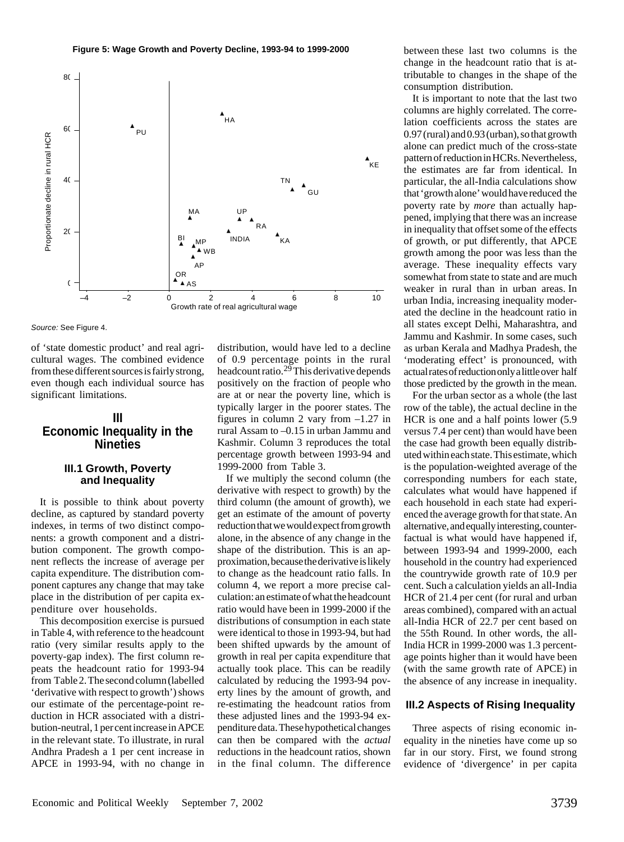

Source: See Figure 4.

of 'state domestic product' and real agricultural wages. The combined evidence from these different sources is fairly strong, even though each individual source has significant limitations.

## **III Economic Inequality in the Nineties**

## **III.1 Growth, Poverty and Inequality**

It is possible to think about poverty decline, as captured by standard poverty indexes, in terms of two distinct components: a growth component and a distribution component. The growth component reflects the increase of average per capita expenditure. The distribution component captures any change that may take place in the distribution of per capita expenditure over households.

This decomposition exercise is pursued in Table 4, with reference to the headcount ratio (very similar results apply to the poverty-gap index). The first column repeats the headcount ratio for 1993-94 from Table 2. The second column (labelled 'derivative with respect to growth') shows our estimate of the percentage-point reduction in HCR associated with a distribution-neutral, 1 per cent increase in APCE in the relevant state. To illustrate, in rural Andhra Pradesh a 1 per cent increase in APCE in 1993-94, with no change in

distribution, would have led to a decline of 0.9 percentage points in the rural headcount ratio.<sup>29</sup> This derivative depends positively on the fraction of people who are at or near the poverty line, which is typically larger in the poorer states. The figures in column 2 vary from –1.27 in rural Assam to –0.15 in urban Jammu and Kashmir. Column 3 reproduces the total percentage growth between 1993-94 and 1999-2000 from Table 3.

If we multiply the second column (the derivative with respect to growth) by the third column (the amount of growth), we get an estimate of the amount of poverty reduction that we would expect from growth alone, in the absence of any change in the shape of the distribution. This is an approximation, because the derivative is likely to change as the headcount ratio falls. In column 4, we report a more precise calculation: an estimate of what the headcount ratio would have been in 1999-2000 if the distributions of consumption in each state were identical to those in 1993-94, but had been shifted upwards by the amount of growth in real per capita expenditure that actually took place. This can be readily calculated by reducing the 1993-94 poverty lines by the amount of growth, and re-estimating the headcount ratios from these adjusted lines and the 1993-94 expenditure data. These hypothetical changes can then be compared with the *actual* reductions in the headcount ratios, shown in the final column. The difference

between these last two columns is the change in the headcount ratio that is attributable to changes in the shape of the consumption distribution.

It is important to note that the last two columns are highly correlated. The correlation coefficients across the states are 0.97 (rural) and 0.93 (urban), so that growth alone can predict much of the cross-state pattern of reduction in HCRs. Nevertheless, the estimates are far from identical. In particular, the all-India calculations show that 'growth alone' would have reduced the poverty rate by *more* than actually happened, implying that there was an increase in inequality that offset some of the effects of growth, or put differently, that APCE growth among the poor was less than the average. These inequality effects vary somewhat from state to state and are much weaker in rural than in urban areas. In urban India, increasing inequality moderated the decline in the headcount ratio in all states except Delhi, Maharashtra, and Jammu and Kashmir. In some cases, such as urban Kerala and Madhya Pradesh, the 'moderating effect' is pronounced, with actual rates of reduction only a little over half those predicted by the growth in the mean.

For the urban sector as a whole (the last row of the table), the actual decline in the HCR is one and a half points lower (5.9 versus 7.4 per cent) than would have been the case had growth been equally distributed within each state. This estimate, which is the population-weighted average of the corresponding numbers for each state, calculates what would have happened if each household in each state had experienced the average growth for that state. An alternative, and equally interesting, counterfactual is what would have happened if, between 1993-94 and 1999-2000, each household in the country had experienced the countrywide growth rate of 10.9 per cent. Such a calculation yields an all-India HCR of 21.4 per cent (for rural and urban areas combined), compared with an actual all-India HCR of 22.7 per cent based on the 55th Round. In other words, the all-India HCR in 1999-2000 was 1.3 percentage points higher than it would have been (with the same growth rate of APCE) in the absence of any increase in inequality.

#### **III.2 Aspects of Rising Inequality**

Three aspects of rising economic inequality in the nineties have come up so far in our story. First, we found strong evidence of 'divergence' in per capita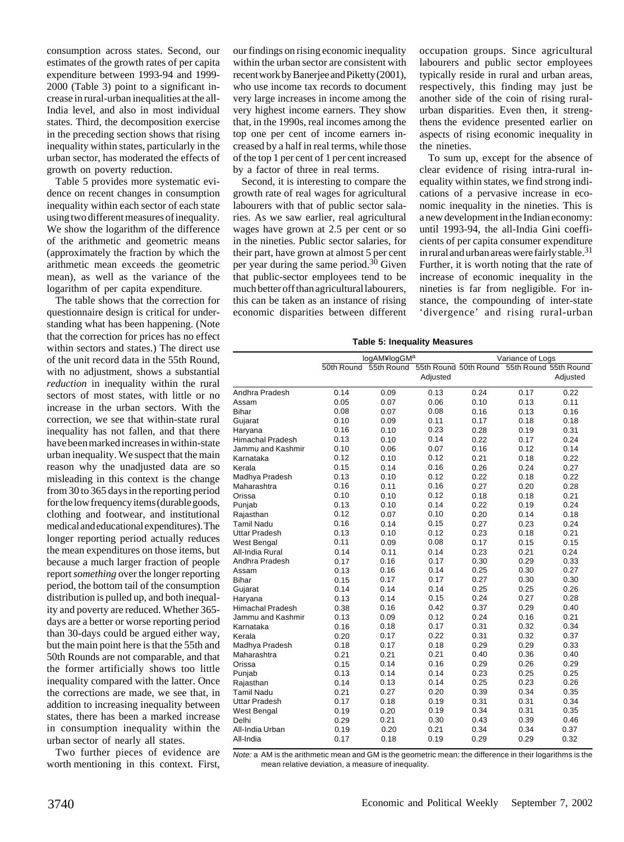consumption across states. Second, our estimates of the growth rates of per capita expenditure between 1993-94 and 1999- 2000 (Table 3) point to a significant increase in rural-urban inequalities at the all-India level, and also in most individual states. Third, the decomposition exercise in the preceding section shows that rising inequality within states, particularly in the urban sector, has moderated the effects of growth on poverty reduction.

Table 5 provides more systematic evidence on recent changes in consumption inequality within each sector of each state using two different measures of inequality. We show the logarithm of the difference of the arithmetic and geometric means (approximately the fraction by which the arithmetic mean exceeds the geometric mean), as well as the variance of the logarithm of per capita expenditure.

The table shows that the correction for questionnaire design is critical for understanding what has been happening. (Note that the correction for prices has no effect within sectors and states.) The direct use of the unit record data in the 55th Round, with no adjustment, shows a substantial *reduction* in inequality within the rural sectors of most states, with little or no increase in the urban sectors. With the correction, we see that within-state rural inequality has not fallen, and that there have been marked increases in within-state urban inequality. We suspect that the main reason why the unadjusted data are so misleading in this context is the change from 30 to 365 days in the reporting period for the low frequency items (durable goods, clothing and footwear, and institutional medical and educational expenditures). The longer reporting period actually reduces the mean expenditures on those items, but because a much larger fraction of people report *something* over the longer reporting period, the bottom tail of the consumption distribution is pulled up, and both inequality and poverty are reduced. Whether 365 days are a better or worse reporting period than 30-days could be argued either way, but the main point here is that the 55th and 50th Rounds are not comparable, and that the former artificially shows too little inequality compared with the latter. Once the corrections are made, we see that, in addition to increasing inequality between states, there has been a marked increase in consumption inequality within the urban sector of nearly all states.

Two further pieces of evidence are worth mentioning in this context. First, our findings on rising economic inequality within the urban sector are consistent with recent work by Banerjee and Piketty (2001), who use income tax records to document very large increases in income among the very highest income earners. They show that, in the 1990s, real incomes among the top one per cent of income earners increased by a half in real terms, while those of the top 1 per cent of 1 per cent increased by a factor of three in real terms.

Second, it is interesting to compare the growth rate of real wages for agricultural labourers with that of public sector salaries. As we saw earlier, real agricultural wages have grown at 2.5 per cent or so in the nineties. Public sector salaries, for their part, have grown at almost 5 per cent per year during the same period.30 Given that public-sector employees tend to be much better off than agricultural labourers, this can be taken as an instance of rising economic disparities between different occupation groups. Since agricultural labourers and public sector employees typically reside in rural and urban areas, respectively, this finding may just be another side of the coin of rising ruralurban disparities. Even then, it strengthens the evidence presented earlier on aspects of rising economic inequality in the nineties.

To sum up, except for the absence of clear evidence of rising intra-rural inequality within states, we find strong indications of a pervasive increase in economic inequality in the nineties. This is a new development in the Indian economy: until 1993-94, the all-India Gini coefficients of per capita consumer expenditure in rural and urban areas were fairly stable.<sup>31</sup> Further, it is worth noting that the rate of increase of economic inequality in the nineties is far from negligible. For instance, the compounding of inter-state 'divergence' and rising rural-urban

**Table 5: Inequality Measures**

|                         | logAM¥logGMª |      |          | Variance of Logs |                                                        |          |
|-------------------------|--------------|------|----------|------------------|--------------------------------------------------------|----------|
|                         | 50th Round   |      |          |                  | 55th Round 55th Round 50th Round 55th Round 55th Round |          |
|                         |              |      | Adjusted |                  |                                                        | Adjusted |
| Andhra Pradesh          | 0.14         | 0.09 | 0.13     | 0.24             | 0.17                                                   | 0.22     |
| Assam                   | 0.05         | 0.07 | 0.06     | 0.10             | 0.13                                                   | 0.11     |
| <b>Bihar</b>            | 0.08         | 0.07 | 0.08     | 0.16             | 0.13                                                   | 0.16     |
| Gujarat                 | 0.10         | 0.09 | 0.11     | 0.17             | 0.18                                                   | 0.18     |
| Haryana                 | 0.16         | 0.10 | 0.23     | 0.28             | 0.19                                                   | 0.31     |
| <b>Himachal Pradesh</b> | 0.13         | 0.10 | 0.14     | 0.22             | 0.17                                                   | 0.24     |
| Jammu and Kashmir       | 0.10         | 0.06 | 0.07     | 0.16             | 0.12                                                   | 0.14     |
| Karnataka               | 0.12         | 0.10 | 0.12     | 0.21             | 0.18                                                   | 0.22     |
| Kerala                  | 0.15         | 0.14 | 0.16     | 0.26             | 0.24                                                   | 0.27     |
| Madhya Pradesh          | 0.13         | 0.10 | 0.12     | 0.22             | 0.18                                                   | 0.22     |
| Maharashtra             | 0.16         | 0.11 | 0.16     | 0.27             | 0.20                                                   | 0.28     |
| Orissa                  | 0.10         | 0.10 | 0.12     | 0.18             | 0.18                                                   | 0.21     |
| Puniab                  | 0.13         | 0.10 | 0.14     | 0.22             | 0.19                                                   | 0.24     |
| Rajasthan               | 0.12         | 0.07 | 0.10     | 0.20             | 0.14                                                   | 0.18     |
| <b>Tamil Nadu</b>       | 0.16         | 0.14 | 0.15     | 0.27             | 0.23                                                   | 0.24     |
| Uttar Pradesh           | 0.13         | 0.10 | 0.12     | 0.23             | 0.18                                                   | 0.21     |
| West Bengal             | 0.11         | 0.09 | 0.08     | 0.17             | 0.15                                                   | 0.15     |
| All-India Rural         | 0.14         | 0.11 | 0.14     | 0.23             | 0.21                                                   | 0.24     |
| Andhra Pradesh          | 0.17         | 0.16 | 0.17     | 0.30             | 0.29                                                   | 0.33     |
| Assam                   | 0.13         | 0.16 | 0.14     | 0.25             | 0.30                                                   | 0.27     |
| Bihar                   | 0.15         | 0.17 | 0.17     | 0.27             | 0.30                                                   | 0.30     |
| Gujarat                 | 0.14         | 0.14 | 0.14     | 0.25             | 0.25                                                   | 0.26     |
| Haryana                 | 0.13         | 0.14 | 0.15     | 0.24             | 0.27                                                   | 0.28     |
| <b>Himachal Pradesh</b> | 0.38         | 0.16 | 0.42     | 0.37             | 0.29                                                   | 0.40     |
| Jammu and Kashmir       | 0.13         | 0.09 | 0.12     | 0.24             | 0.16                                                   | 0.21     |
| Karnataka               | 0.16         | 0.18 | 0.17     | 0.31             | 0.32                                                   | 0.34     |
| Kerala                  | 0.20         | 0.17 | 0.22     | 0.31             | 0.32                                                   | 0.37     |
| Madhya Pradesh          | 0.18         | 0.17 | 0.18     | 0.29             | 0.29                                                   | 0.33     |
| Maharashtra             | 0.21         | 0.21 | 0.21     | 0.40             | 0.36                                                   | 0.40     |
| Orissa                  | 0.15         | 0.14 | 0.16     | 0.29             | 0.26                                                   | 0.29     |
| Punjab                  | 0.13         | 0.14 | 0.14     | 0.23             | 0.25                                                   | 0.25     |
| Rajasthan               | 0.14         | 0.13 | 0.14     | 0.25             | 0.23                                                   | 0.26     |
| <b>Tamil Nadu</b>       | 0.21         | 0.27 | 0.20     | 0.39             | 0.34                                                   | 0.35     |
| <b>Uttar Pradesh</b>    | 0.17         | 0.18 | 0.19     | 0.31             | 0.31                                                   | 0.34     |
| West Bengal             | 0.19         | 0.20 | 0.19     | 0.34             | 0.31                                                   | 0.35     |
| Delhi                   | 0.29         | 0.21 | 0.30     | 0.43             | 0.39                                                   | 0.46     |
| All-India Urban         | 0.19         | 0.20 | 0.21     | 0.34             | 0.34                                                   | 0.37     |
| All-India               | 0.17         | 0.18 | 0.19     | 0.29             | 0.29                                                   | 0.32     |

Note: a AM is the arithmetic mean and GM is the geometric mean: the difference in their logarithms is the mean relative deviation, a measure of inequality.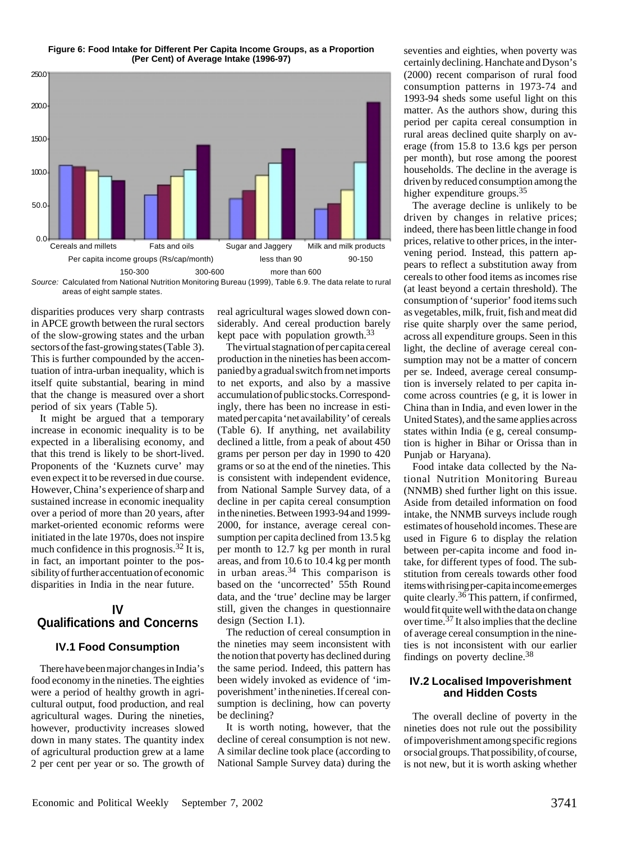

**Figure 6: Food Intake for Different Per Capita Income Groups, as a Proportion (Per Cent) of Average Intake (1996-97)**

Source: Calculated from National Nutrition Monitoring Bureau (1999), Table 6.9. The data relate to rural areas of eight sample states.

disparities produces very sharp contrasts in APCE growth between the rural sectors of the slow-growing states and the urban sectors of the fast-growing states (Table 3). This is further compounded by the accentuation of intra-urban inequality, which is itself quite substantial, bearing in mind that the change is measured over a short period of six years (Table 5).

It might be argued that a temporary increase in economic inequality is to be expected in a liberalising economy, and that this trend is likely to be short-lived. Proponents of the 'Kuznets curve' may even expect it to be reversed in due course. However, China's experience of sharp and sustained increase in economic inequality over a period of more than 20 years, after market-oriented economic reforms were initiated in the late 1970s, does not inspire much confidence in this prognosis.<sup>32</sup> It is, in fact, an important pointer to the possibility of further accentuation of economic disparities in India in the near future.

## **IV Qualifications and Concerns**

## **IV.1 Food Consumption**

There have been major changes in India's food economy in the nineties. The eighties were a period of healthy growth in agricultural output, food production, and real agricultural wages. During the nineties, however, productivity increases slowed down in many states. The quantity index of agricultural production grew at a lame 2 per cent per year or so. The growth of real agricultural wages slowed down considerably. And cereal production barely kept pace with population growth. $33$ 

The virtual stagnation of per capita cereal production in the nineties has been accompanied by a gradual switch from net imports to net exports, and also by a massive accumulation of public stocks. Correspondingly, there has been no increase in estimated per capita 'net availability' of cereals (Table 6). If anything, net availability declined a little, from a peak of about 450 grams per person per day in 1990 to 420 grams or so at the end of the nineties. This is consistent with independent evidence, from National Sample Survey data, of a decline in per capita cereal consumption in the nineties. Between 1993-94 and 1999- 2000, for instance, average cereal consumption per capita declined from 13.5 kg per month to 12.7 kg per month in rural areas, and from 10.6 to 10.4 kg per month in urban areas.34 This comparison is based on the 'uncorrected' 55th Round data, and the 'true' decline may be larger still, given the changes in questionnaire design (Section I.1).

The reduction of cereal consumption in the nineties may seem inconsistent with the notion that poverty has declined during the same period. Indeed, this pattern has been widely invoked as evidence of 'impoverishment' in the nineties. If cereal consumption is declining, how can poverty be declining?

It is worth noting, however, that the decline of cereal consumption is not new. A similar decline took place (according to National Sample Survey data) during the seventies and eighties, when poverty was certainly declining. Hanchate and Dyson's (2000) recent comparison of rural food consumption patterns in 1973-74 and 1993-94 sheds some useful light on this matter. As the authors show, during this period per capita cereal consumption in rural areas declined quite sharply on average (from 15.8 to 13.6 kgs per person per month), but rose among the poorest households. The decline in the average is driven by reduced consumption among the higher expenditure groups.<sup>35</sup>

The average decline is unlikely to be driven by changes in relative prices; indeed, there has been little change in food prices, relative to other prices, in the intervening period. Instead, this pattern appears to reflect a substitution away from cereals to other food items as incomes rise (at least beyond a certain threshold). The consumption of 'superior' food items such as vegetables, milk, fruit, fish and meat did rise quite sharply over the same period, across all expenditure groups. Seen in this light, the decline of average cereal consumption may not be a matter of concern per se. Indeed, average cereal consumption is inversely related to per capita income across countries (e g, it is lower in China than in India, and even lower in the United States), and the same applies across states within India (e g, cereal consumption is higher in Bihar or Orissa than in Punjab or Haryana).

Food intake data collected by the National Nutrition Monitoring Bureau (NNMB) shed further light on this issue. Aside from detailed information on food intake, the NNMB surveys include rough estimates of household incomes. These are used in Figure 6 to display the relation between per-capita income and food intake, for different types of food. The substitution from cereals towards other food items with rising per-capita income emerges quite clearly.<sup>36</sup> This pattern, if confirmed, would fit quite well with the data on change over time.37 It also implies that the decline of average cereal consumption in the nineties is not inconsistent with our earlier findings on poverty decline.38

#### **IV.2 Localised Impoverishment and Hidden Costs**

The overall decline of poverty in the nineties does not rule out the possibility of impoverishment among specific regions or social groups. That possibility, of course, is not new, but it is worth asking whether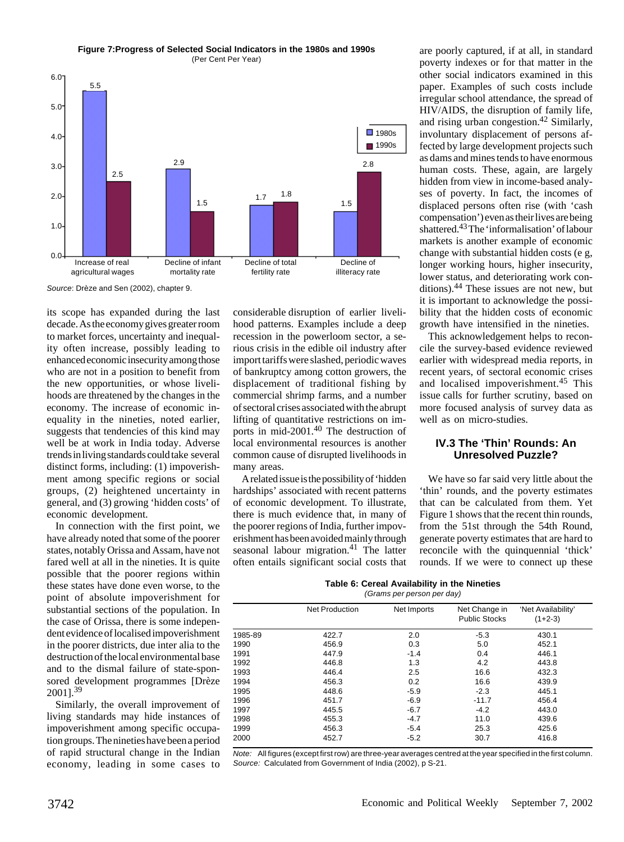#### **Figure 7:Progress of Selected Social Indicators in the 1980s and 1990s** (Per Cent Per Year)



Source: Drèze and Sen (2002), chapter 9.

its scope has expanded during the last decade. As the economy gives greater room to market forces, uncertainty and inequality often increase, possibly leading to enhanced economic insecurity among those who are not in a position to benefit from the new opportunities, or whose livelihoods are threatened by the changes in the economy. The increase of economic inequality in the nineties, noted earlier, suggests that tendencies of this kind may well be at work in India today. Adverse trends in living standards could take several distinct forms, including: (1) impoverishment among specific regions or social groups, (2) heightened uncertainty in general, and (3) growing 'hidden costs' of economic development.

In connection with the first point, we have already noted that some of the poorer states, notably Orissa and Assam, have not fared well at all in the nineties. It is quite possible that the poorer regions within these states have done even worse, to the point of absolute impoverishment for substantial sections of the population. In the case of Orissa, there is some independent evidence of localised impoverishment in the poorer districts, due inter alia to the destruction of the local environmental base and to the dismal failure of state-sponsored development programmes [Drèze 2001].<sup>39</sup>

Similarly, the overall improvement of living standards may hide instances of impoverishment among specific occupation groups. The nineties have been a period of rapid structural change in the Indian economy, leading in some cases to

considerable disruption of earlier livelihood patterns. Examples include a deep recession in the powerloom sector, a serious crisis in the edible oil industry after import tariffs were slashed, periodic waves of bankruptcy among cotton growers, the displacement of traditional fishing by commercial shrimp farms, and a number of sectoral crises associated with the abrupt lifting of quantitative restrictions on imports in mid-2001.40 The destruction of local environmental resources is another common cause of disrupted livelihoods in many areas.

A related issue is the possibility of 'hidden hardships' associated with recent patterns of economic development. To illustrate, there is much evidence that, in many of the poorer regions of India, further impoverishment has been avoided mainly through seasonal labour migration.<sup>41</sup> The latter often entails significant social costs that

are poorly captured, if at all, in standard poverty indexes or for that matter in the other social indicators examined in this paper. Examples of such costs include irregular school attendance, the spread of HIV/AIDS, the disruption of family life, and rising urban congestion.42 Similarly, involuntary displacement of persons affected by large development projects such as dams and mines tends to have enormous human costs. These, again, are largely hidden from view in income-based analyses of poverty. In fact, the incomes of displaced persons often rise (with 'cash compensation') even as their lives are being shattered.43 The 'informalisation' of labour markets is another example of economic change with substantial hidden costs (e g, longer working hours, higher insecurity, lower status, and deteriorating work conditions).44 These issues are not new, but it is important to acknowledge the possibility that the hidden costs of economic growth have intensified in the nineties.

This acknowledgement helps to reconcile the survey-based evidence reviewed earlier with widespread media reports, in recent years, of sectoral economic crises and localised impoverishment.<sup>45</sup> This issue calls for further scrutiny, based on more focused analysis of survey data as well as on micro-studies.

## **IV.3 The 'Thin' Rounds: An Unresolved Puzzle?**

We have so far said very little about the 'thin' rounds, and the poverty estimates that can be calculated from them. Yet Figure 1 shows that the recent thin rounds, from the 51st through the 54th Round, generate poverty estimates that are hard to reconcile with the quinquennial 'thick' rounds. If we were to connect up these

| Table 6: Cereal Availability in the Nineties |                            |  |  |  |
|----------------------------------------------|----------------------------|--|--|--|
|                                              | (Grams per person per day) |  |  |  |

| (Grams per person per uay) |                       |             |                                       |                                 |  |  |  |
|----------------------------|-----------------------|-------------|---------------------------------------|---------------------------------|--|--|--|
|                            | <b>Net Production</b> | Net Imports | Net Change in<br><b>Public Stocks</b> | 'Net Availability'<br>$(1+2-3)$ |  |  |  |
| 1985-89                    | 422.7                 | 2.0         | $-5.3$                                | 430.1                           |  |  |  |
| 1990                       | 456.9                 | 0.3         | 5.0                                   | 452.1                           |  |  |  |
| 1991                       | 447.9                 | $-1.4$      | 0.4                                   | 446.1                           |  |  |  |
| 1992                       | 446.8                 | 1.3         | 4.2                                   | 443.8                           |  |  |  |
| 1993                       | 446.4                 | 2.5         | 16.6                                  | 432.3                           |  |  |  |
| 1994                       | 456.3                 | 0.2         | 16.6                                  | 439.9                           |  |  |  |
| 1995                       | 448.6                 | $-5.9$      | $-2.3$                                | 445.1                           |  |  |  |
| 1996                       | 451.7                 | $-6.9$      | $-11.7$                               | 456.4                           |  |  |  |
| 1997                       | 445.5                 | $-6.7$      | $-4.2$                                | 443.0                           |  |  |  |
| 1998                       | 455.3                 | $-4.7$      | 11.0                                  | 439.6                           |  |  |  |
| 1999                       | 456.3                 | $-5.4$      | 25.3                                  | 425.6                           |  |  |  |
| 2000                       | 452.7                 | $-5.2$      | 30.7                                  | 416.8                           |  |  |  |

Note: All figures (except first row) are three-year averages centred at the year specified in the first column. Source: Calculated from Government of India (2002), p S-21.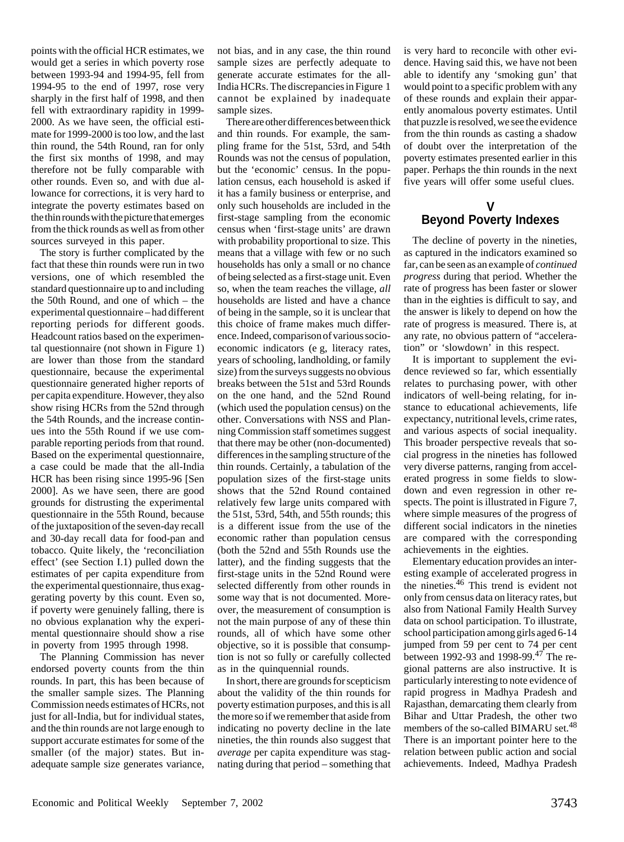points with the official HCR estimates, we would get a series in which poverty rose between 1993-94 and 1994-95, fell from 1994-95 to the end of 1997, rose very sharply in the first half of 1998, and then fell with extraordinary rapidity in 1999- 2000. As we have seen, the official estimate for 1999-2000 is too low, and the last thin round, the 54th Round, ran for only the first six months of 1998, and may therefore not be fully comparable with other rounds. Even so, and with due allowance for corrections, it is very hard to integrate the poverty estimates based on the thin rounds with the picture that emerges from the thick rounds as well as from other sources surveyed in this paper.

The story is further complicated by the fact that these thin rounds were run in two versions, one of which resembled the standard questionnaire up to and including the 50th Round, and one of which – the experimental questionnaire – had different reporting periods for different goods. Headcount ratios based on the experimental questionnaire (not shown in Figure 1) are lower than those from the standard questionnaire, because the experimental questionnaire generated higher reports of per capita expenditure. However, they also show rising HCRs from the 52nd through the 54th Rounds, and the increase continues into the 55th Round if we use comparable reporting periods from that round. Based on the experimental questionnaire, a case could be made that the all-India HCR has been rising since 1995-96 [Sen 2000]. As we have seen, there are good grounds for distrusting the experimental questionnaire in the 55th Round, because of the juxtaposition of the seven-day recall and 30-day recall data for food-pan and tobacco. Quite likely, the 'reconciliation effect' (see Section I.1) pulled down the estimates of per capita expenditure from the experimental questionnaire, thus exaggerating poverty by this count. Even so, if poverty were genuinely falling, there is no obvious explanation why the experimental questionnaire should show a rise in poverty from 1995 through 1998.

The Planning Commission has never endorsed poverty counts from the thin rounds. In part, this has been because of the smaller sample sizes. The Planning Commission needs estimates of HCRs, not just for all-India, but for individual states, and the thin rounds are not large enough to support accurate estimates for some of the smaller (of the major) states. But inadequate sample size generates variance,

not bias, and in any case, the thin round sample sizes are perfectly adequate to generate accurate estimates for the all-India HCRs. The discrepancies in Figure 1 cannot be explained by inadequate sample sizes.

There are other differences between thick and thin rounds. For example, the sampling frame for the 51st, 53rd, and 54th Rounds was not the census of population, but the 'economic' census. In the population census, each household is asked if it has a family business or enterprise, and only such households are included in the first-stage sampling from the economic census when 'first-stage units' are drawn with probability proportional to size. This means that a village with few or no such households has only a small or no chance of being selected as a first-stage unit. Even so, when the team reaches the village, *all* households are listed and have a chance of being in the sample, so it is unclear that this choice of frame makes much difference. Indeed, comparison of various socioeconomic indicators (e g, literacy rates, years of schooling, landholding, or family size) from the surveys suggests no obvious breaks between the 51st and 53rd Rounds on the one hand, and the 52nd Round (which used the population census) on the other. Conversations with NSS and Planning Commission staff sometimes suggest that there may be other (non-documented) differences in the sampling structure of the thin rounds. Certainly, a tabulation of the population sizes of the first-stage units shows that the 52nd Round contained relatively few large units compared with the 51st, 53rd, 54th, and 55th rounds; this is a different issue from the use of the economic rather than population census (both the 52nd and 55th Rounds use the latter), and the finding suggests that the first-stage units in the 52nd Round were selected differently from other rounds in some way that is not documented. Moreover, the measurement of consumption is not the main purpose of any of these thin rounds, all of which have some other objective, so it is possible that consumption is not so fully or carefully collected as in the quinquennial rounds.

In short, there are grounds for scepticism about the validity of the thin rounds for poverty estimation purposes, and this is all the more so if we remember that aside from indicating no poverty decline in the late nineties, the thin rounds also suggest that *average* per capita expenditure was stagnating during that period – something that

is very hard to reconcile with other evidence. Having said this, we have not been able to identify any 'smoking gun' that would point to a specific problem with any of these rounds and explain their apparently anomalous poverty estimates. Until that puzzle is resolved, we see the evidence from the thin rounds as casting a shadow of doubt over the interpretation of the poverty estimates presented earlier in this paper. Perhaps the thin rounds in the next five years will offer some useful clues.

## **V Beyond Poverty Indexes**

The decline of poverty in the nineties, as captured in the indicators examined so far, can be seen as an example of *continued progress* during that period. Whether the rate of progress has been faster or slower than in the eighties is difficult to say, and the answer is likely to depend on how the rate of progress is measured. There is, at any rate, no obvious pattern of "acceleration" or 'slowdown' in this respect.

It is important to supplement the evidence reviewed so far, which essentially relates to purchasing power, with other indicators of well-being relating, for instance to educational achievements, life expectancy, nutritional levels, crime rates, and various aspects of social inequality. This broader perspective reveals that social progress in the nineties has followed very diverse patterns, ranging from accelerated progress in some fields to slowdown and even regression in other respects. The point is illustrated in Figure 7, where simple measures of the progress of different social indicators in the nineties are compared with the corresponding achievements in the eighties.

Elementary education provides an interesting example of accelerated progress in the nineties.46 This trend is evident not only from census data on literacy rates, but also from National Family Health Survey data on school participation. To illustrate, school participation among girls aged 6-14 jumped from 59 per cent to 74 per cent between 1992-93 and 1998-99.<sup>47</sup> The regional patterns are also instructive. It is particularly interesting to note evidence of rapid progress in Madhya Pradesh and Rajasthan, demarcating them clearly from Bihar and Uttar Pradesh, the other two members of the so-called BIMARU set.48 There is an important pointer here to the relation between public action and social achievements. Indeed, Madhya Pradesh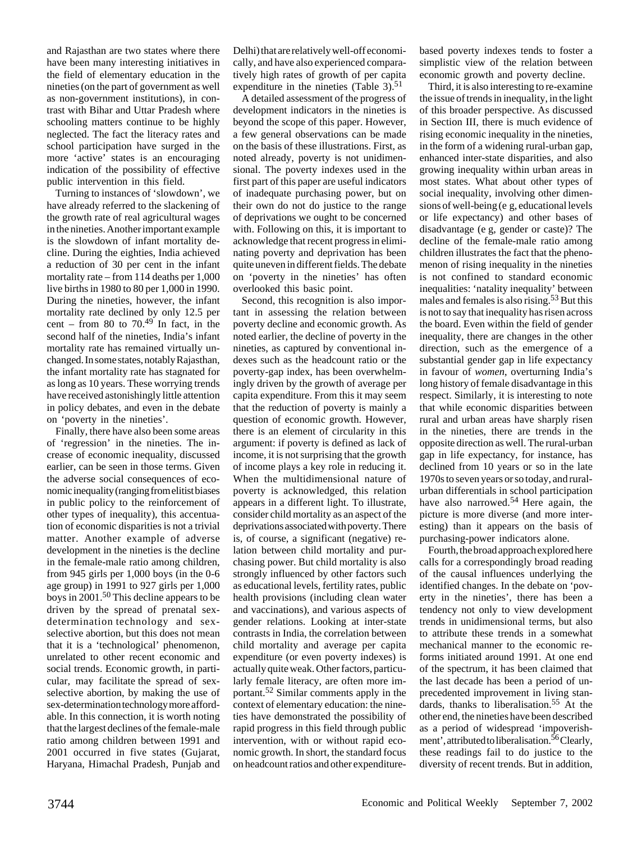and Rajasthan are two states where there have been many interesting initiatives in the field of elementary education in the nineties (on the part of government as well as non-government institutions), in contrast with Bihar and Uttar Pradesh where schooling matters continue to be highly neglected. The fact the literacy rates and school participation have surged in the more 'active' states is an encouraging indication of the possibility of effective public intervention in this field.

Turning to instances of 'slowdown', we have already referred to the slackening of the growth rate of real agricultural wages in the nineties. Another important example is the slowdown of infant mortality decline. During the eighties, India achieved a reduction of 30 per cent in the infant mortality rate – from 114 deaths per 1,000 live births in 1980 to 80 per 1,000 in 1990. During the nineties, however, the infant mortality rate declined by only 12.5 per cent – from 80 to  $70<sup>49</sup>$  In fact, in the second half of the nineties, India's infant mortality rate has remained virtually unchanged. In some states, notably Rajasthan, the infant mortality rate has stagnated for as long as 10 years. These worrying trends have received astonishingly little attention in policy debates, and even in the debate on 'poverty in the nineties'.

Finally, there have also been some areas of 'regression' in the nineties. The increase of economic inequality, discussed earlier, can be seen in those terms. Given the adverse social consequences of economic inequality (ranging from elitist biases in public policy to the reinforcement of other types of inequality), this accentuation of economic disparities is not a trivial matter. Another example of adverse development in the nineties is the decline in the female-male ratio among children, from 945 girls per 1,000 boys (in the 0-6 age group) in 1991 to 927 girls per 1,000 boys in 2001.<sup>50</sup> This decline appears to be driven by the spread of prenatal sexdetermination technology and sexselective abortion, but this does not mean that it is a 'technological' phenomenon, unrelated to other recent economic and social trends. Economic growth, in particular, may facilitate the spread of sexselective abortion, by making the use of sex-determination technology more affordable. In this connection, it is worth noting that the largest declines of the female-male ratio among children between 1991 and 2001 occurred in five states (Gujarat, Haryana, Himachal Pradesh, Punjab and

Delhi) that are relatively well-off economically, and have also experienced comparatively high rates of growth of per capita expenditure in the nineties (Table 3).<sup>51</sup>

A detailed assessment of the progress of development indicators in the nineties is beyond the scope of this paper. However, a few general observations can be made on the basis of these illustrations. First, as noted already, poverty is not unidimensional. The poverty indexes used in the first part of this paper are useful indicators of inadequate purchasing power, but on their own do not do justice to the range of deprivations we ought to be concerned with. Following on this, it is important to acknowledge that recent progress in eliminating poverty and deprivation has been quite uneven in different fields. The debate on 'poverty in the nineties' has often overlooked this basic point.

Second, this recognition is also important in assessing the relation between poverty decline and economic growth. As noted earlier, the decline of poverty in the nineties, as captured by conventional indexes such as the headcount ratio or the poverty-gap index, has been overwhelmingly driven by the growth of average per capita expenditure. From this it may seem that the reduction of poverty is mainly a question of economic growth. However, there is an element of circularity in this argument: if poverty is defined as lack of income, it is not surprising that the growth of income plays a key role in reducing it. When the multidimensional nature of poverty is acknowledged, this relation appears in a different light. To illustrate, consider child mortality as an aspect of the deprivations associated with poverty. There is, of course, a significant (negative) relation between child mortality and purchasing power. But child mortality is also strongly influenced by other factors such as educational levels, fertility rates, public health provisions (including clean water and vaccinations), and various aspects of gender relations. Looking at inter-state contrasts in India, the correlation between child mortality and average per capita expenditure (or even poverty indexes) is actually quite weak. Other factors, particularly female literacy, are often more important.52 Similar comments apply in the context of elementary education: the nineties have demonstrated the possibility of rapid progress in this field through public intervention, with or without rapid economic growth. In short, the standard focus on headcount ratios and other expenditurebased poverty indexes tends to foster a simplistic view of the relation between economic growth and poverty decline.

Third, it is also interesting to re-examine the issue of trends in inequality, in the light of this broader perspective. As discussed in Section III, there is much evidence of rising economic inequality in the nineties, in the form of a widening rural-urban gap, enhanced inter-state disparities, and also growing inequality within urban areas in most states. What about other types of social inequality, involving other dimensions of well-being (e g, educational levels or life expectancy) and other bases of disadvantage (e g, gender or caste)? The decline of the female-male ratio among children illustrates the fact that the phenomenon of rising inequality in the nineties is not confined to standard economic inequalities: 'natality inequality' between males and females is also rising.<sup>53</sup> But this is not to say that inequality has risen across the board. Even within the field of gender inequality, there are changes in the other direction, such as the emergence of a substantial gender gap in life expectancy in favour of *women*, overturning India's long history of female disadvantage in this respect. Similarly, it is interesting to note that while economic disparities between rural and urban areas have sharply risen in the nineties, there are trends in the opposite direction as well. The rural-urban gap in life expectancy, for instance, has declined from 10 years or so in the late 1970s to seven years or so today, and ruralurban differentials in school participation have also narrowed.<sup>54</sup> Here again, the picture is more diverse (and more interesting) than it appears on the basis of purchasing-power indicators alone.

Fourth, the broad approach explored here calls for a correspondingly broad reading of the causal influences underlying the identified changes. In the debate on 'poverty in the nineties', there has been a tendency not only to view development trends in unidimensional terms, but also to attribute these trends in a somewhat mechanical manner to the economic reforms initiated around 1991. At one end of the spectrum, it has been claimed that the last decade has been a period of unprecedented improvement in living standards, thanks to liberalisation.<sup>55</sup> At the other end, the nineties have been described as a period of widespread 'impoverishment', attributed to liberalisation.<sup>56</sup> Clearly, these readings fail to do justice to the diversity of recent trends. But in addition,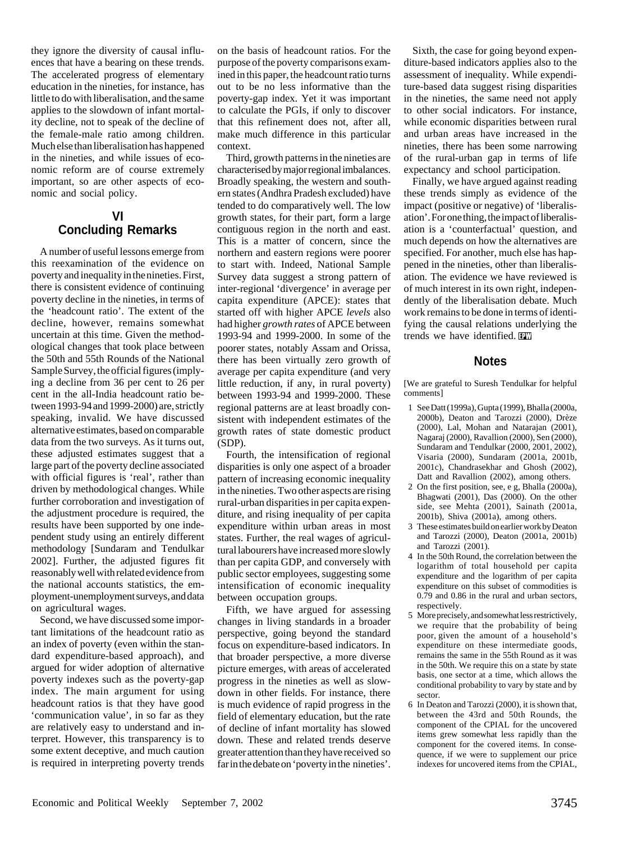they ignore the diversity of causal influences that have a bearing on these trends. The accelerated progress of elementary education in the nineties, for instance, has little to do with liberalisation, and the same applies to the slowdown of infant mortality decline, not to speak of the decline of the female-male ratio among children. Much else than liberalisation has happened in the nineties, and while issues of economic reform are of course extremely important, so are other aspects of economic and social policy.

## **VI Concluding Remarks**

A number of useful lessons emerge from this reexamination of the evidence on poverty and inequality in the nineties. First, there is consistent evidence of continuing poverty decline in the nineties, in terms of the 'headcount ratio'. The extent of the decline, however, remains somewhat uncertain at this time. Given the methodological changes that took place between the 50th and 55th Rounds of the National Sample Survey, the official figures (implying a decline from 36 per cent to 26 per cent in the all-India headcount ratio between 1993-94 and 1999-2000) are, strictly speaking, invalid. We have discussed alternative estimates, based on comparable data from the two surveys. As it turns out, these adjusted estimates suggest that a large part of the poverty decline associated with official figures is 'real', rather than driven by methodological changes. While further corroboration and investigation of the adjustment procedure is required, the results have been supported by one independent study using an entirely different methodology [Sundaram and Tendulkar 2002]. Further, the adjusted figures fit reasonably well with related evidence from the national accounts statistics, the employment-unemployment surveys, and data on agricultural wages.

Second, we have discussed some important limitations of the headcount ratio as an index of poverty (even within the standard expenditure-based approach), and argued for wider adoption of alternative poverty indexes such as the poverty-gap index. The main argument for using headcount ratios is that they have good 'communication value', in so far as they are relatively easy to understand and interpret. However, this transparency is to some extent deceptive, and much caution is required in interpreting poverty trends

on the basis of headcount ratios. For the purpose of the poverty comparisons examined in this paper, the headcount ratio turns out to be no less informative than the poverty-gap index. Yet it was important to calculate the PGIs, if only to discover that this refinement does not, after all, make much difference in this particular context.

Third, growth patterns in the nineties are characterised by major regional imbalances. Broadly speaking, the western and southern states (Andhra Pradesh excluded) have tended to do comparatively well. The low growth states, for their part, form a large contiguous region in the north and east. This is a matter of concern, since the northern and eastern regions were poorer to start with. Indeed, National Sample Survey data suggest a strong pattern of inter-regional 'divergence' in average per capita expenditure (APCE): states that started off with higher APCE *levels* also had higher *growth rates* of APCE between 1993-94 and 1999-2000. In some of the poorer states, notably Assam and Orissa, there has been virtually zero growth of average per capita expenditure (and very little reduction, if any, in rural poverty) between 1993-94 and 1999-2000. These regional patterns are at least broadly consistent with independent estimates of the growth rates of state domestic product (SDP).

Fourth, the intensification of regional disparities is only one aspect of a broader pattern of increasing economic inequality in the nineties. Two other aspects are rising rural-urban disparities in per capita expenditure, and rising inequality of per capita expenditure within urban areas in most states. Further, the real wages of agricultural labourers have increased more slowly than per capita GDP, and conversely with public sector employees, suggesting some intensification of economic inequality between occupation groups.

Fifth, we have argued for assessing changes in living standards in a broader perspective, going beyond the standard focus on expenditure-based indicators. In that broader perspective, a more diverse picture emerges, with areas of accelerated progress in the nineties as well as slowdown in other fields. For instance, there is much evidence of rapid progress in the field of elementary education, but the rate of decline of infant mortality has slowed down. These and related trends deserve greater attention than they have received so far in the debate on 'poverty in the nineties'.

Sixth, the case for going beyond expenditure-based indicators applies also to the assessment of inequality. While expenditure-based data suggest rising disparities in the nineties, the same need not apply to other social indicators. For instance, while economic disparities between rural and urban areas have increased in the nineties, there has been some narrowing of the rural-urban gap in terms of life expectancy and school participation.

Finally, we have argued against reading these trends simply as evidence of the impact (positive or negative) of 'liberalisation'. For one thing, the impact of liberalisation is a 'counterfactual' question, and much depends on how the alternatives are specified. For another, much else has happened in the nineties, other than liberalisation. The evidence we have reviewed is of much interest in its own right, independently of the liberalisation debate. Much work remains to be done in terms of identifying the causal relations underlying the trends we have identified.

#### **Notes**

[We are grateful to Suresh Tendulkar for helpful comments]

- 1 See Datt (1999a), Gupta (1999), Bhalla (2000a, 2000b), Deaton and Tarozzi (2000), Drèze (2000), Lal, Mohan and Natarajan (2001), Nagaraj (2000), Ravallion (2000), Sen (2000), Sundaram and Tendulkar (2000, 2001, 2002), Visaria (2000), Sundaram (2001a, 2001b, 2001c), Chandrasekhar and Ghosh (2002), Datt and Ravallion (2002), among others.
- 2 On the first position, see, e g, Bhalla (2000a), Bhagwati  $(2001)$ , Das  $(2000)$ . On the other side, see Mehta (2001), Sainath (2001a, 2001b), Shiva (2001a), among others.
- 3 These estimates build on earlier work by Deaton and Tarozzi (2000), Deaton (2001a, 2001b) and Tarozzi (2001).
- 4 In the 50th Round, the correlation between the logarithm of total household per capita expenditure and the logarithm of per capita expenditure on this subset of commodities is 0.79 and 0.86 in the rural and urban sectors, respectively.
- 5 More precisely, and somewhat less restrictively, we require that the probability of being poor, given the amount of a household's expenditure on these intermediate goods, remains the same in the 55th Round as it was in the 50th. We require this on a state by state basis, one sector at a time, which allows the conditional probability to vary by state and by sector.
- 6 In Deaton and Tarozzi (2000), it is shown that, between the 43rd and 50th Rounds, the component of the CPIAL for the uncovered items grew somewhat less rapidly than the component for the covered items. In consequence, if we were to supplement our price indexes for uncovered items from the CPIAL,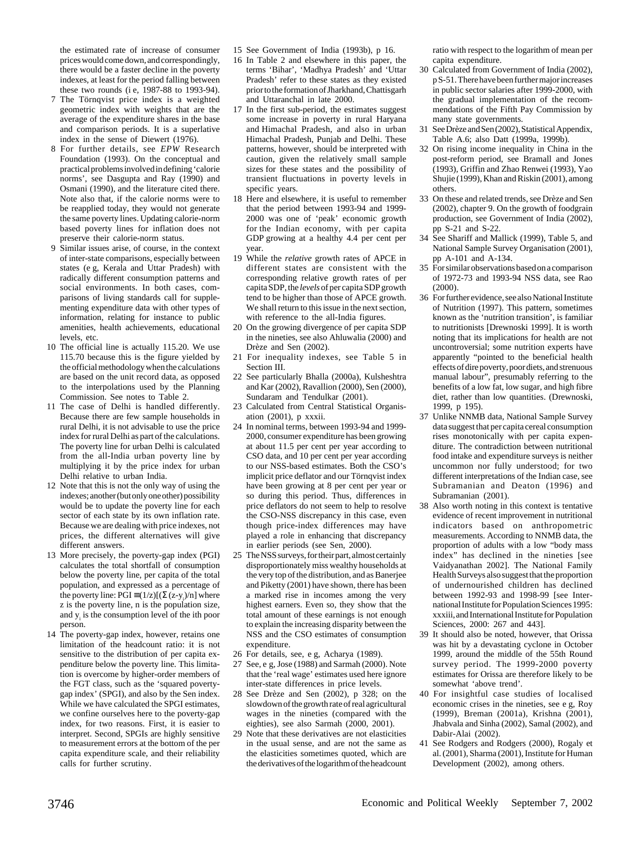the estimated rate of increase of consumer prices would come down, and correspondingly, there would be a faster decline in the poverty indexes, at least for the period falling between these two rounds (i e, 1987-88 to 1993-94).

- 7 The Törnqvist price index is a weighted geometric index with weights that are the average of the expenditure shares in the base and comparison periods. It is a superlative index in the sense of Diewert (1976).
- 8 For further details, see *EPW* Research Foundation (1993). On the conceptual and practical problems involved in defining 'calorie norms', see Dasgupta and Ray (1990) and Osmani (1990), and the literature cited there. Note also that, if the calorie norms were to be reapplied today, they would not generate the same poverty lines. Updating calorie-norm based poverty lines for inflation does not preserve their calorie-norm status.
- 9 Similar issues arise, of course, in the context of inter-state comparisons, especially between states (e g, Kerala and Uttar Pradesh) with radically different consumption patterns and social environments. In both cases, comparisons of living standards call for supplementing expenditure data with other types of information, relating for instance to public amenities, health achievements, educational levels, etc.
- 10 The official line is actually 115.20. We use 115.70 because this is the figure yielded by the official methodology when the calculations are based on the unit record data, as opposed to the interpolations used by the Planning Commission. See notes to Table 2.
- 11 The case of Delhi is handled differently. Because there are few sample households in rural Delhi, it is not advisable to use the price index for rural Delhi as part of the calculations. The poverty line for urban Delhi is calculated from the all-India urban poverty line by multiplying it by the price index for urban Delhi relative to urban India.
- 12 Note that this is not the only way of using the indexes; another (but only one other) possibility would be to update the poverty line for each sector of each state by its own inflation rate. Because we are dealing with price indexes, not prices, the different alternatives will give different answers.
- 13 More precisely, the poverty-gap index (PGI) calculates the total shortfall of consumption below the poverty line, per capita of the total population, and expressed as a percentage of the poverty line:  $PGI = (1/z)[(\Sigma (z-y_i)/n]$  where z is the poverty line, n is the population size, and  $y_i$  is the consumption level of the ith poor person.
- 14 The poverty-gap index, however, retains one limitation of the headcount ratio: it is not sensitive to the distribution of per capita expenditure below the poverty line. This limitation is overcome by higher-order members of the FGT class, such as the 'squared povertygap index' (SPGI), and also by the Sen index. While we have calculated the SPGI estimates, we confine ourselves here to the poverty-gap index, for two reasons. First, it is easier to interpret. Second, SPGIs are highly sensitive to measurement errors at the bottom of the per capita expenditure scale, and their reliability calls for further scrutiny.
- 15 See Government of India (1993b), p 16.
- 16 In Table 2 and elsewhere in this paper, the terms 'Bihar', 'Madhya Pradesh' and 'Uttar Pradesh' refer to these states as they existed prior to the formation of Jharkhand, Chattisgarh and Uttaranchal in late 2000.
- 17 In the first sub-period, the estimates suggest some increase in poverty in rural Haryana and Himachal Pradesh, and also in urban Himachal Pradesh, Punjab and Delhi. These patterns, however, should be interpreted with caution, given the relatively small sample sizes for these states and the possibility of transient fluctuations in poverty levels in specific years.
- 18 Here and elsewhere, it is useful to remember that the period between 1993-94 and 1999- 2000 was one of 'peak' economic growth for the Indian economy, with per capita GDP growing at a healthy 4.4 per cent per year.
- 19 While the *relative* growth rates of APCE in different states are consistent with the corresponding relative growth rates of per capita SDP, the *levels* of per capita SDP growth tend to be higher than those of APCE growth. We shall return to this issue in the next section, with reference to the all-India figures.
- 20 On the growing divergence of per capita SDP in the nineties, see also Ahluwalia (2000) and Drèze and Sen (2002).
- 21 For inequality indexes, see Table 5 in Section III.
- 22 See particularly Bhalla (2000a), Kulsheshtra and Kar (2002), Ravallion (2000), Sen (2000), Sundaram and Tendulkar (2001).
- 23 Calculated from Central Statistical Organisation (2001), p xxxii.
- 24 In nominal terms, between 1993-94 and 1999- 2000, consumer expenditure has been growing at about 11.5 per cent per year according to CSO data, and 10 per cent per year according to our NSS-based estimates. Both the CSO's implicit price deflator and our Törnqvist index have been growing at 8 per cent per year or so during this period. Thus, differences in price deflators do not seem to help to resolve the CSO-NSS discrepancy in this case, even though price-index differences may have played a role in enhancing that discrepancy in earlier periods (see Sen, 2000).
- 25 The NSS surveys, for their part, almost certainly disproportionately miss wealthy households at the very top of the distribution, and as Banerjee and Piketty (2001) have shown, there has been a marked rise in incomes among the very highest earners. Even so, they show that the total amount of these earnings is not enough to explain the increasing disparity between the NSS and the CSO estimates of consumption expenditure.
- 26 For details, see, e g, Acharya (1989).
- 27 See, e g, Jose (1988) and Sarmah (2000). Note that the 'real wage' estimates used here ignore inter-state differences in price levels.
- 28 See Drèze and Sen (2002), p 328; on the slowdown of the growth rate of real agricultural wages in the nineties (compared with the eighties), see also Sarmah (2000, 2001).
- 29 Note that these derivatives are not elasticities in the usual sense, and are not the same as the elasticities sometimes quoted, which are the derivatives of the logarithm of the headcount

ratio with respect to the logarithm of mean per capita expenditure.

- 30 Calculated from Government of India (2002), p S-51. There have been further major increases in public sector salaries after 1999-2000, with the gradual implementation of the recommendations of the Fifth Pay Commission by many state governments.
- 31 See Drèze and Sen (2002), Statistical Appendix, Table A.6; also Datt (1999a, 1999b).
- 32 On rising income inequality in China in the post-reform period, see Bramall and Jones (1993), Griffin and Zhao Renwei (1993), Yao Shujie (1999), Khan and Riskin (2001), among others.
- 33 On these and related trends, see Drèze and Sen (2002), chapter 9. On the growth of foodgrain production, see Government of India (2002), pp S-21 and S-22.
- 34 See Shariff and Mallick (1999), Table 5, and National Sample Survey Organisation (2001), pp A-101 and A-134.
- 35 For similar observations based on a comparison of 1972-73 and 1993-94 NSS data, see Rao  $(2000)$ .
- 36 For further evidence, see also National Institute of Nutrition (1997). This pattern, sometimes known as the 'nutrition transition', is familiar to nutritionists [Drewnoski 1999]. It is worth noting that its implications for health are not uncontroversial; some nutrition experts have apparently "pointed to the beneficial health effects of dire poverty, poor diets, and strenuous manual labour", presumably referring to the benefits of a low fat, low sugar, and high fibre diet, rather than low quantities. (Drewnoski, 1999, p 195).
- 37 Unlike NNMB data, National Sample Survey data suggest that per capita cereal consumption rises monotonically with per capita expenditure. The contradiction between nutritional food intake and expenditure surveys is neither uncommon nor fully understood; for two different interpretations of the Indian case, see Subramanian and Deaton (1996) and Subramanian (2001).
- 38 Also worth noting in this context is tentative evidence of recent improvement in nutritional indicators based on anthropometric measurements. According to NNMB data, the proportion of adults with a low "body mass index" has declined in the nineties [see Vaidyanathan 2002]. The National Family Health Surveys also suggest that the proportion of undernourished children has declined between 1992-93 and 1998-99 [see International Institute for Population Sciences 1995: xxxiii, and International Institute for Population Sciences, 2000: 267 and 443].
- 39 It should also be noted, however, that Orissa was hit by a devastating cyclone in October 1999, around the middle of the 55th Round survey period. The 1999-2000 poverty estimates for Orissa are therefore likely to be somewhat 'above trend'.
- 40 For insightful case studies of localised economic crises in the nineties, see e g, Roy (1999), Breman (2001a), Krishna (2001), Jhabvala and Sinha (2002), Samal (2002), and Dabir-Alai (2002).
- 41 See Rodgers and Rodgers (2000), Rogaly et al. (2001), Sharma (2001), Institute for Human Development (2002), among others.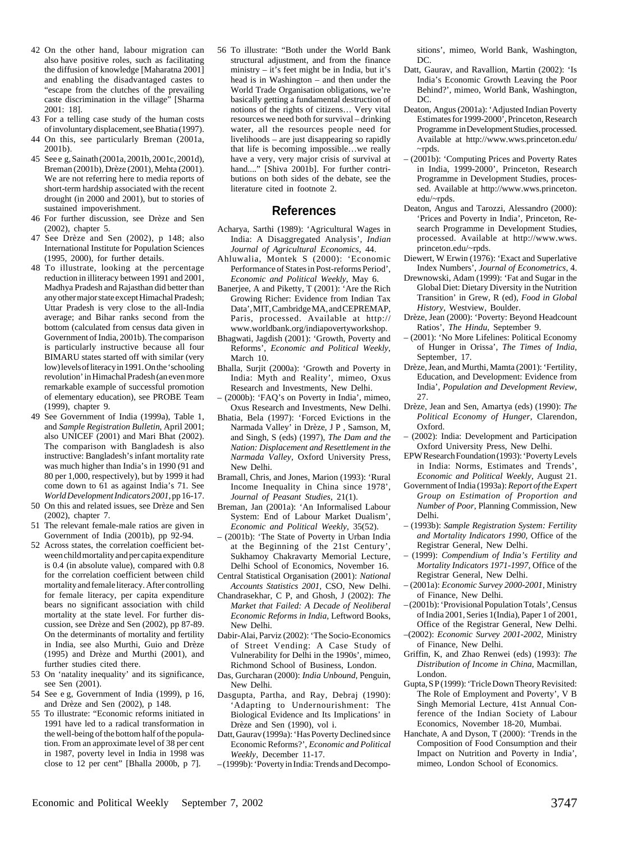- 42 On the other hand, labour migration can also have positive roles, such as facilitating the diffusion of knowledge [Maharatna 2001] and enabling the disadvantaged castes to "escape from the clutches of the prevailing caste discrimination in the village" [Sharma 2001: 18].
- 43 For a telling case study of the human costs of involuntary displacement, see Bhatia (1997).
- 44 On this, see particularly Breman (2001a, 2001b).
- 45 See e g, Sainath (2001a, 2001b, 2001c, 2001d), Breman (2001b), Drèze (2001), Mehta (2001). We are not referring here to media reports of short-term hardship associated with the recent drought (in 2000 and 2001), but to stories of sustained impoverishment.
- 46 For further discussion, see Drèze and Sen (2002), chapter 5.
- 47 See Drèze and Sen (2002), p 148; also International Institute for Population Sciences (1995, 2000), for further details.
- 48 To illustrate, looking at the percentage reduction in illiteracy between 1991 and 2001, Madhya Pradesh and Rajasthan did better than any other major state except Himachal Pradesh; Uttar Pradesh is very close to the all-India average; and Bihar ranks second from the bottom (calculated from census data given in Government of India, 2001b). The comparison is particularly instructive because all four BIMARU states started off with similar (very low) levels of literacy in 1991. On the 'schooling revolution' in Himachal Pradesh (an even more remarkable example of successful promotion of elementary education), see PROBE Team (1999), chapter 9.
- 49 See Government of India (1999a), Table 1, and *Sample Registration Bulletin*, April 2001; also UNICEF (2001) and Mari Bhat (2002). The comparison with Bangladesh is also instructive: Bangladesh's infant mortality rate was much higher than India's in 1990 (91 and 80 per 1,000, respectively), but by 1999 it had come down to 61 as against India's 71. See *World Development Indicators 2001*, pp 16-17.
- 50 On this and related issues, see Drèze and Sen (2002), chapter 7.
- 51 The relevant female-male ratios are given in Government of India (2001b), pp 92-94.
- 52 Across states, the correlation coefficient between child mortality and per capita expenditure is 0.4 (in absolute value), compared with 0.8 for the correlation coefficient between child mortality and female literacy. After controlling for female literacy, per capita expenditure bears no significant association with child mortality at the state level. For further discussion, see Drèze and Sen (2002), pp 87-89. On the determinants of mortality and fertility in India, see also Murthi, Guio and Drèze (1995) and Drèze and Murthi (2001), and further studies cited there.
- 53 On 'natality inequality' and its significance, see Sen (2001).
- 54 See e g, Government of India (1999), p 16, and Drèze and Sen (2002), p 148.
- 55 To illustrate: "Economic reforms initiated in 1991 have led to a radical transformation in the well-being of the bottom half of the population. From an approximate level of 38 per cent in 1987, poverty level in India in 1998 was close to 12 per cent" [Bhalla 2000b, p 7].

56 To illustrate: "Both under the World Bank structural adjustment, and from the finance ministry – it's feet might be in India, but it's head is in Washington – and then under the World Trade Organisation obligations, we're basically getting a fundamental destruction of notions of the rights of citizens… Very vital resources we need both for survival – drinking water, all the resources people need for livelihoods – are just disappearing so rapidly that life is becoming impossible…we really have a very, very major crisis of survival at hand...." [Shiva 2001b]. For further contributions on both sides of the debate, see the literature cited in footnote 2.

## **References**

- Acharya, Sarthi (1989): 'Agricultural Wages in India: A Disaggregated Analysis', *Indian Journal of Agricultural Economics*, 44.
- Ahluwalia, Montek S (2000): 'Economic Performance of States in Post-reforms Period', *Economic and Political Weekly*, May 6.
- Banerjee, A and Piketty, T (2001): 'Are the Rich Growing Richer: Evidence from Indian Tax Data', MIT, Cambridge MA, and CEPREMAP, Paris, processed. Available at http:// www.worldbank.org/indiapovertyworkshop.
- Bhagwati, Jagdish (2001): 'Growth, Poverty and Reforms', *Economic and Political Weekly*, March 10.
- Bhalla, Surjit (2000a): 'Growth and Poverty in India: Myth and Reality', mimeo, Oxus Research and Investments, New Delhi.
- (2000b): 'FAQ's on Poverty in India', mimeo, Oxus Research and Investments, New Delhi.
- Bhatia, Bela (1997): 'Forced Evictions in the Narmada Valley' in Drèze, J P , Samson, M, and Singh, S (eds) (1997), *The Dam and the Nation: Displacement and Resettlement in the Narmada Valley*, Oxford University Press, New Delhi.
- Bramall, Chris, and Jones, Marion (1993): 'Rural Income Inequality in China since 1978', *Journal of Peasant Studies*, 21(1).
- Breman, Jan (2001a): 'An Informalised Labour System: End of Labour Market Dualism', *Economic and Political Weekly*, 35(52).
- (2001b): 'The State of Poverty in Urban India at the Beginning of the 21st Century', Sukhamoy Chakravarty Memorial Lecture, Delhi School of Economics, November 16.
- Central Statistical Organisation (2001): *National Accounts Statistics 2001,* CSO, New Delhi.
- Chandrasekhar, C P, and Ghosh, J (2002): *The Market that Failed: A Decade of Neoliberal Economic Reforms in India,* Leftword Books, New Delhi.
- Dabir-Alai, Parviz (2002): 'The Socio-Economics of Street Vending: A Case Study of Vulnerability for Delhi in the 1990s', mimeo, Richmond School of Business, London.
- Das, Gurcharan (2000): *India Unbound,* Penguin, New Delhi.
- Dasgupta, Partha, and Ray, Debraj (1990): 'Adapting to Undernourishment: The Biological Evidence and Its Implications' in Drèze and Sen (1990), vol i.
- Datt, Gaurav (1999a): 'Has Poverty Declined since Economic Reforms?', *Economic and Political Weekly*, December 11-17.
- (1999b): 'Poverty in India: Trends and Decompo-

sitions', mimeo, World Bank, Washington, DC.

- Datt, Gaurav, and Ravallion, Martin (2002): 'Is India's Economic Growth Leaving the Poor Behind?', mimeo, World Bank, Washington, DC.
- Deaton, Angus (2001a): 'Adjusted Indian Poverty Estimates for 1999-2000', Princeton, Research Programme in Development Studies, processed. Available at http://www.wws.princeton.edu/ ~rpds.
- (2001b): 'Computing Prices and Poverty Rates in India, 1999-2000', Princeton, Research Programme in Development Studies, processed. Available at http://www.wws.princeton. edu/~rpds.
- Deaton, Angus and Tarozzi, Alessandro (2000): 'Prices and Poverty in India', Princeton, Research Programme in Development Studies, processed. Available at http://www.wws. princeton.edu/~rpds.
- Diewert, W Erwin (1976): 'Exact and Superlative Index Numbers', *Journal of Econometrics*, 4.
- Drewnowski, Adam (1999): 'Fat and Sugar in the Global Diet: Dietary Diversity in the Nutrition Transition' in Grew, R (ed), *Food in Global History*, Westview, Boulder.
- Drèze, Jean (2000): 'Poverty: Beyond Headcount Ratios', *The Hindu*, September 9.
- (2001): 'No More Lifelines: Political Economy of Hunger in Orissa', *The Times of India*, September, 17.
- Drèze, Jean, and Murthi, Mamta (2001): 'Fertility, Education, and Development: Evidence from India', *Population and Development Review*, 27.
- Drèze, Jean and Sen, Amartya (eds) (1990): *The Political Economy of Hunger*, Clarendon, Oxford.
- (2002): India: Development and Participation Oxford University Press, New Delhi.
- EPW Research Foundation (1993): 'Poverty Levels in India: Norms, Estimates and Trends', *Economic and Political Weekly*, August 21.
- Government of India (1993a): *Report of the Expert Group on Estimation of Proportion and Number of Poor*, Planning Commission, New Delhi.
- (1993b): *Sample Registration System: Fertility and Mortality Indicators 1990,* Office of the Registrar General, New Delhi.
- (1999): *Compendium of India's Fertility and Mortality Indicators 1971-1997*, Office of the Registrar General, New Delhi.
- (2001a): *Economic Survey 2000-2001,* Ministry of Finance, New Delhi.
- (2001b): 'Provisional Population Totals', Census of India 2001, Series 1(India), Paper 1 of 2001, Office of the Registrar General, New Delhi.
- –(2002): *Economic Survey 2001-2002,* Ministry of Finance, New Delhi.
- Griffin, K, and Zhao Renwei (eds) (1993): *The Distribution of Income in China*, Macmillan, London.
- Gupta, S P (1999): 'Tricle Down Theory Revisited: The Role of Employment and Poverty', V B Singh Memorial Lecture, 41st Annual Conference of the Indian Society of Labour Economics, November 18-20, Mumbai.
- Hanchate, A and Dyson, T (2000): 'Trends in the Composition of Food Consumption and their Impact on Nutrition and Poverty in India', mimeo, London School of Economics.